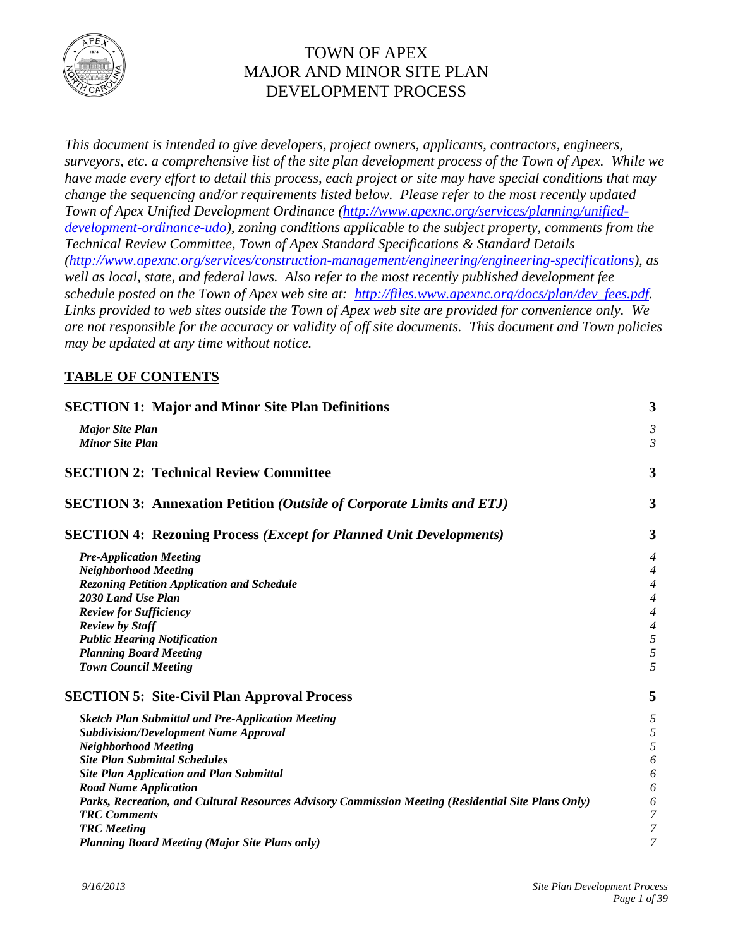

# TOWN OF APEX MAJOR AND MINOR SITE PLAN DEVELOPMENT PROCESS

*This document is intended to give developers, project owners, applicants, contractors, engineers, surveyors, etc. a comprehensive list of the site plan development process of the Town of Apex. While we have made every effort to detail this process, each project or site may have special conditions that may change the sequencing and/or requirements listed below. Please refer to the most recently updated Town of Apex Unified Development Ordinance [\(http://www.apexnc.org/services/planning/unified](http://www.apexnc.org/services/planning/unified-development-ordinance-udo)[development-ordinance-udo\)](http://www.apexnc.org/services/planning/unified-development-ordinance-udo), zoning conditions applicable to the subject property, comments from the Technical Review Committee, Town of Apex Standard Specifications & Standard Details [\(http://www.apexnc.org/services/construction-management/engineering/engineering-specifications\)](http://www.apexnc.org/services/construction-management/engineering/engineering-specifications), as well as local, state, and federal laws. Also refer to the most recently published development fee schedule posted on the Town of Apex web site at: [http://files.www.apexnc.org/docs/plan/dev\\_fees.pdf.](http://files.www.apexnc.org/docs/plan/dev_fees.pdf) Links provided to web sites outside the Town of Apex web site are provided for convenience only. We are not responsible for the accuracy or validity of off site documents. This document and Town policies may be updated at any time without notice.*

## **TABLE OF CONTENTS**

| <b>SECTION 1: Major and Minor Site Plan Definitions</b>                                             |                          |  |  |  |
|-----------------------------------------------------------------------------------------------------|--------------------------|--|--|--|
| <b>Major Site Plan</b>                                                                              | $\mathfrak{Z}$           |  |  |  |
| <b>Minor Site Plan</b>                                                                              | 3                        |  |  |  |
| <b>SECTION 2: Technical Review Committee</b>                                                        | 3                        |  |  |  |
| <b>SECTION 3: Annexation Petition (Outside of Corporate Limits and ETJ)</b>                         | 3                        |  |  |  |
| <b>SECTION 4: Rezoning Process (Except for Planned Unit Developments)</b>                           | 3                        |  |  |  |
| <b>Pre-Application Meeting</b>                                                                      | 4                        |  |  |  |
| <b>Neighborhood Meeting</b>                                                                         | 4                        |  |  |  |
| <b>Rezoning Petition Application and Schedule</b>                                                   | 4                        |  |  |  |
| 2030 Land Use Plan                                                                                  | $\overline{\mathcal{A}}$ |  |  |  |
| <b>Review for Sufficiency</b>                                                                       | $\overline{\mathcal{A}}$ |  |  |  |
| <b>Review by Staff</b>                                                                              | $\overline{\mathcal{A}}$ |  |  |  |
| <b>Public Hearing Notification</b>                                                                  | 5                        |  |  |  |
| <b>Planning Board Meeting</b>                                                                       | 5                        |  |  |  |
| <b>Town Council Meeting</b>                                                                         | 5                        |  |  |  |
| <b>SECTION 5: Site-Civil Plan Approval Process</b>                                                  | 5                        |  |  |  |
| <b>Sketch Plan Submittal and Pre-Application Meeting</b>                                            | 5                        |  |  |  |
| <b>Subdivision/Development Name Approval</b>                                                        | 5                        |  |  |  |
| <b>Neighborhood Meeting</b>                                                                         | 5                        |  |  |  |
| <b>Site Plan Submittal Schedules</b>                                                                | 6                        |  |  |  |
| <b>Site Plan Application and Plan Submittal</b>                                                     | 6                        |  |  |  |
| <b>Road Name Application</b>                                                                        | 6                        |  |  |  |
| Parks, Recreation, and Cultural Resources Advisory Commission Meeting (Residential Site Plans Only) | 6                        |  |  |  |
| <b>TRC</b> Comments                                                                                 | 7                        |  |  |  |
| <b>TRC</b> Meeting                                                                                  | 7                        |  |  |  |
| <b>Planning Board Meeting (Major Site Plans only)</b>                                               | 7                        |  |  |  |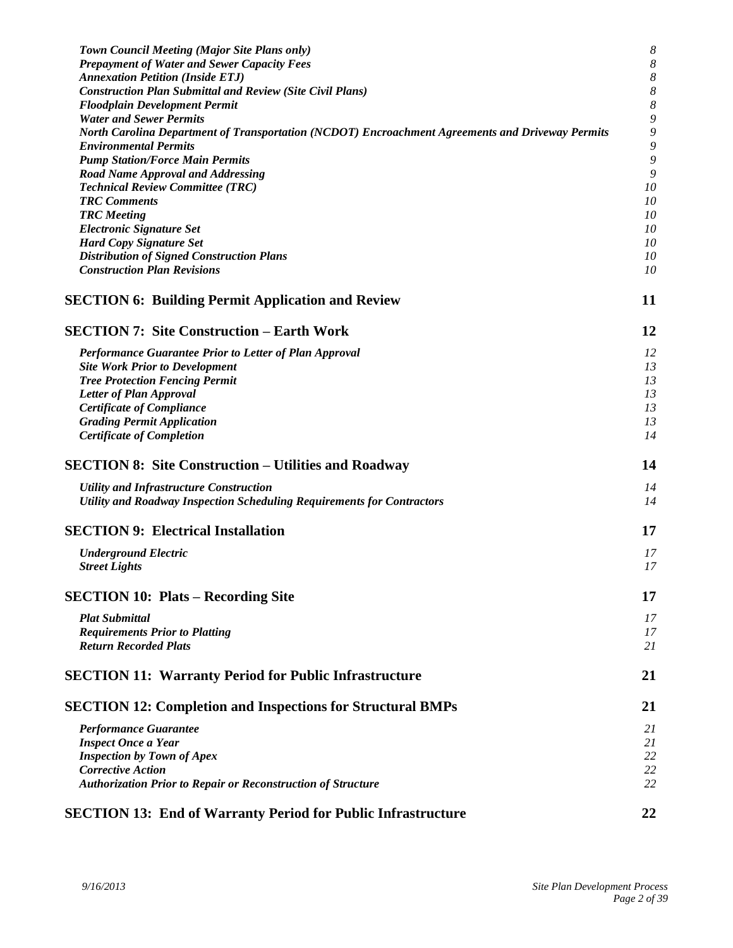| Town Council Meeting (Major Site Plans only)                                                     | $\boldsymbol{8}$ |
|--------------------------------------------------------------------------------------------------|------------------|
| <b>Prepayment of Water and Sewer Capacity Fees</b>                                               | $\boldsymbol{8}$ |
| <b>Annexation Petition (Inside ETJ)</b>                                                          | $\boldsymbol{8}$ |
| <b>Construction Plan Submittal and Review (Site Civil Plans)</b>                                 | $\boldsymbol{8}$ |
| <b>Floodplain Development Permit</b>                                                             | 8                |
| <b>Water and Sewer Permits</b>                                                                   | 9                |
| North Carolina Department of Transportation (NCDOT) Encroachment Agreements and Driveway Permits | $\boldsymbol{9}$ |
| <b>Environmental Permits</b>                                                                     | 9                |
| <b>Pump Station/Force Main Permits</b>                                                           | 9                |
| <b>Road Name Approval and Addressing</b>                                                         | 9                |
| <b>Technical Review Committee (TRC)</b>                                                          | 10               |
| <b>TRC</b> Comments                                                                              | 10               |
| <b>TRC</b> Meeting                                                                               | 10               |
| <b>Electronic Signature Set</b>                                                                  | 10               |
| <b>Hard Copy Signature Set</b>                                                                   | 10               |
| <b>Distribution of Signed Construction Plans</b>                                                 | 10               |
| <b>Construction Plan Revisions</b>                                                               | 10               |
| <b>SECTION 6: Building Permit Application and Review</b>                                         | 11               |
|                                                                                                  |                  |
| <b>SECTION 7: Site Construction – Earth Work</b>                                                 | 12               |
| Performance Guarantee Prior to Letter of Plan Approval                                           | 12               |
| <b>Site Work Prior to Development</b>                                                            | 13               |
| <b>Tree Protection Fencing Permit</b>                                                            | 13               |
| Letter of Plan Approval                                                                          | 13               |
| <b>Certificate of Compliance</b>                                                                 | 13               |
| <b>Grading Permit Application</b>                                                                | 13               |
| <b>Certificate of Completion</b>                                                                 | 14               |
| <b>SECTION 8: Site Construction – Utilities and Roadway</b>                                      | 14               |
|                                                                                                  |                  |
| <b>Utility and Infrastructure Construction</b>                                                   | 14               |
| Utility and Roadway Inspection Scheduling Requirements for Contractors                           | 14               |
| <b>SECTION 9: Electrical Installation</b>                                                        | 17               |
| <b>Underground Electric</b>                                                                      | 17               |
| <b>Street Lights</b>                                                                             | 17               |
|                                                                                                  |                  |
| <b>SECTION 10: Plats – Recording Site</b>                                                        | 17               |
| <b>Plat Submittal</b>                                                                            | 17               |
| <b>Requirements Prior to Platting</b>                                                            | 17               |
| <b>Return Recorded Plats</b>                                                                     | 21               |
| <b>SECTION 11: Warranty Period for Public Infrastructure</b>                                     | 21               |
| <b>SECTION 12: Completion and Inspections for Structural BMPs</b>                                | 21               |
| <b>Performance Guarantee</b>                                                                     | 21               |
| <b>Inspect Once a Year</b>                                                                       | 21               |
| <b>Inspection by Town of Apex</b>                                                                | 22               |
| <b>Corrective Action</b>                                                                         | 22               |
| <b>Authorization Prior to Repair or Reconstruction of Structure</b>                              | 22               |
| <b>SECTION 13: End of Warranty Period for Public Infrastructure</b>                              | 22               |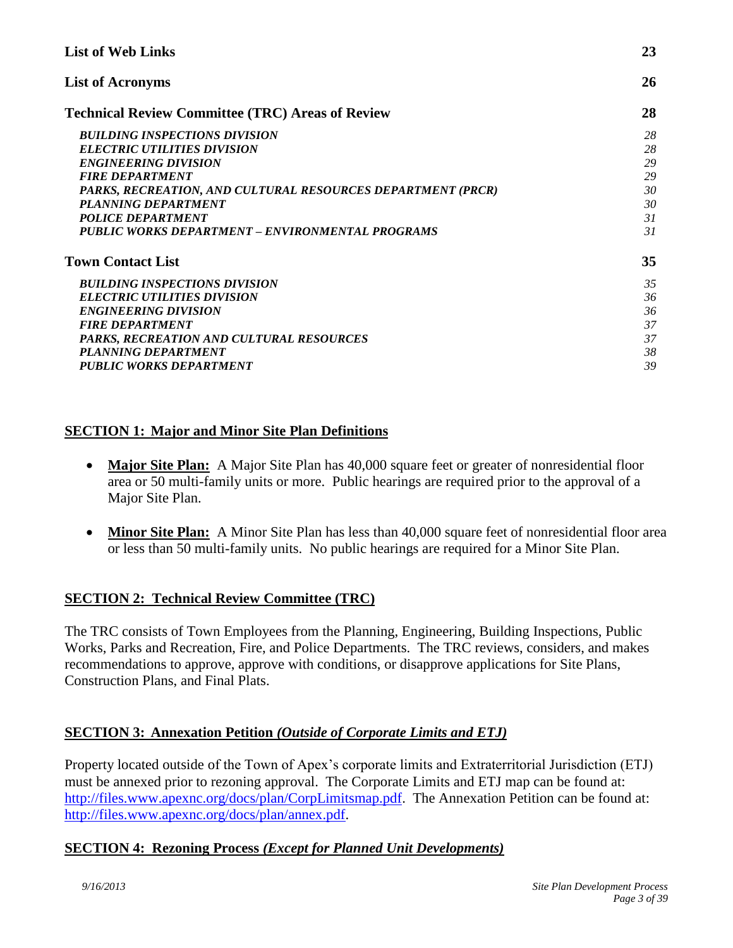| <b>List of Web Links</b>                                                                                                                                                                                                                                                                                         | 23                                           |
|------------------------------------------------------------------------------------------------------------------------------------------------------------------------------------------------------------------------------------------------------------------------------------------------------------------|----------------------------------------------|
| <b>List of Acronyms</b>                                                                                                                                                                                                                                                                                          | 26                                           |
| <b>Technical Review Committee (TRC) Areas of Review</b>                                                                                                                                                                                                                                                          | 28                                           |
| <b>BUILDING INSPECTIONS DIVISION</b><br><b>ELECTRIC UTILITIES DIVISION</b><br><b>ENGINEERING DIVISION</b><br><b>FIRE DEPARTMENT</b><br>PARKS, RECREATION, AND CULTURAL RESOURCES DEPARTMENT (PRCR)<br>PLANNING DEPARTMENT<br><b>POLICE DEPARTMENT</b><br><b>PUBLIC WORKS DEPARTMENT - ENVIRONMENTAL PROGRAMS</b> | 28<br>28<br>29<br>29<br>30<br>30<br>31<br>31 |
| <b>Town Contact List</b>                                                                                                                                                                                                                                                                                         | 35                                           |
| <b>BUILDING INSPECTIONS DIVISION</b><br><b>ELECTRIC UTILITIES DIVISION</b><br><b>ENGINEERING DIVISION</b><br><b>FIRE DEPARTMENT</b><br>PARKS, RECREATION AND CULTURAL RESOURCES<br><b>PLANNING DEPARTMENT</b><br><b>PUBLIC WORKS DEPARTMENT</b>                                                                  | 35<br>36<br>36<br>37<br>37<br>38<br>39       |

# **SECTION 1: Major and Minor Site Plan Definitions**

- <span id="page-2-1"></span><span id="page-2-0"></span>• Major Site Plan: A Major Site Plan has 40,000 square feet or greater of nonresidential floor area or 50 multi-family units or more. Public hearings are required prior to the approval of a Major Site Plan.
- <span id="page-2-3"></span><span id="page-2-2"></span>• Minor Site Plan: A Minor Site Plan has less than 40,000 square feet of nonresidential floor area or less than 50 multi-family units. No public hearings are required for a Minor Site Plan.

## **SECTION 2: Technical Review Committee (TRC)**

The TRC consists of Town Employees from the Planning, Engineering, Building Inspections, Public Works, Parks and Recreation, Fire, and Police Departments. The TRC reviews, considers, and makes recommendations to approve, approve with conditions, or disapprove applications for Site Plans, Construction Plans, and Final Plats.

# <span id="page-2-4"></span>**SECTION 3: Annexation Petition** *(Outside of Corporate Limits and ETJ)*

Property located outside of the Town of Apex's corporate limits and Extraterritorial Jurisdiction (ETJ) must be annexed prior to rezoning approval. The Corporate Limits and ETJ map can be found at: [http://files.www.apexnc.org/docs/plan/CorpLimitsmap.pdf.](http://files.www.apexnc.org/docs/plan/CorpLimitsmap.pdf) The Annexation Petition can be found at: [http://files.www.apexnc.org/docs/plan/annex.pdf.](http://files.www.apexnc.org/docs/plan/annex.pdf)

## <span id="page-2-5"></span>**SECTION 4: Rezoning Process** *(Except for Planned Unit Developments)*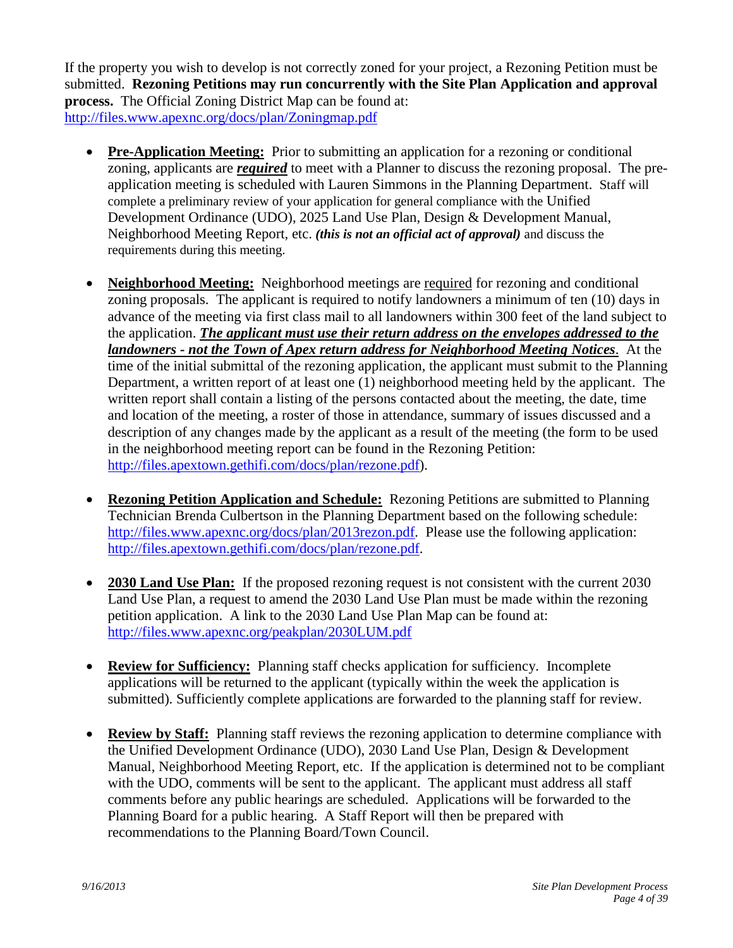If the property you wish to develop is not correctly zoned for your project, a Rezoning Petition must be submitted. **Rezoning Petitions may run concurrently with the Site Plan Application and approval process.** The Official Zoning District Map can be found at: <http://files.www.apexnc.org/docs/plan/Zoningmap.pdf>

- <span id="page-3-0"></span>**Pre-Application Meeting:** Prior to submitting an application for a rezoning or conditional zoning, applicants are *required* to meet with a Planner to discuss the rezoning proposal. The preapplication meeting is scheduled with Lauren Simmons in the Planning Department. Staff will complete a preliminary review of your application for general compliance with the Unified Development Ordinance (UDO), 2025 Land Use Plan, Design & Development Manual, Neighborhood Meeting Report, etc. *(this is not an official act of approval)* and discuss the requirements during this meeting.
- <span id="page-3-1"></span> **Neighborhood Meeting:** Neighborhood meetings are required for rezoning and conditional zoning proposals. The applicant is required to notify landowners a minimum of ten (10) days in advance of the meeting via first class mail to all landowners within 300 feet of the land subject to the application. *The applicant must use their return address on the envelopes addressed to the landowners - not the Town of Apex return address for Neighborhood Meeting Notices*. At the time of the initial submittal of the rezoning application, the applicant must submit to the Planning Department, a written report of at least one (1) neighborhood meeting held by the applicant. The written report shall contain a listing of the persons contacted about the meeting, the date, time and location of the meeting, a roster of those in attendance, summary of issues discussed and a description of any changes made by the applicant as a result of the meeting (the form to be used in the neighborhood meeting report can be found in the Rezoning Petition: [http://files.apextown.gethifi.com/docs/plan/rezone.pdf\)](http://files.apextown.gethifi.com/docs/plan/rezone.pdf).
- <span id="page-3-2"></span> **Rezoning Petition Application and Schedule:** Rezoning Petitions are submitted to Planning Technician Brenda Culbertson in the Planning Department based on the following schedule: [http://files.www.apexnc.org/docs/plan/2013rezon.pdf.](http://files.www.apexnc.org/docs/plan/2013rezon.pdf) Please use the following application: [http://files.apextown.gethifi.com/docs/plan/rezone.pdf.](http://files.apextown.gethifi.com/docs/plan/rezone.pdf)
- <span id="page-3-3"></span> **2030 Land Use Plan:** If the proposed rezoning request is not consistent with the current 2030 Land Use Plan, a request to amend the 2030 Land Use Plan must be made within the rezoning petition application. A link to the 2030 Land Use Plan Map can be found at: <http://files.www.apexnc.org/peakplan/2030LUM.pdf>
- <span id="page-3-4"></span> **Review for Sufficiency:** Planning staff checks application for sufficiency. Incomplete applications will be returned to the applicant (typically within the week the application is submitted). Sufficiently complete applications are forwarded to the planning staff for review.
- <span id="page-3-5"></span> **Review by Staff:** Planning staff reviews the rezoning application to determine compliance with the Unified Development Ordinance (UDO), 2030 Land Use Plan, Design & Development Manual, Neighborhood Meeting Report, etc. If the application is determined not to be compliant with the UDO, comments will be sent to the applicant. The applicant must address all staff comments before any public hearings are scheduled. Applications will be forwarded to the Planning Board for a public hearing. A Staff Report will then be prepared with recommendations to the Planning Board/Town Council.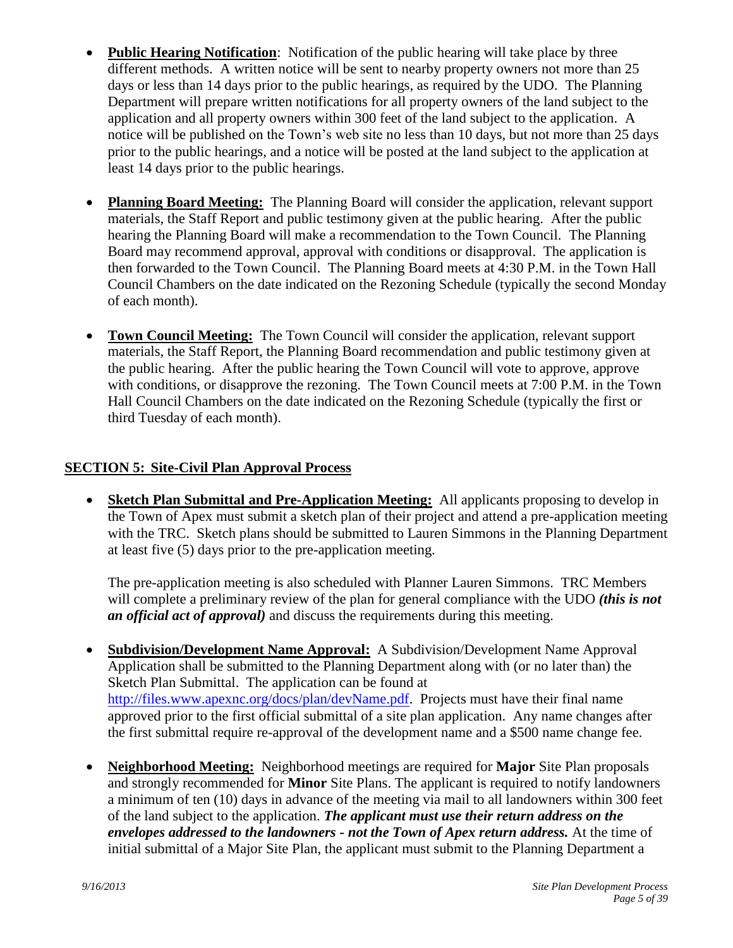- <span id="page-4-0"></span> **Public Hearing Notification**:Notification of the public hearing will take place by three different methods. A written notice will be sent to nearby property owners not more than 25 days or less than 14 days prior to the public hearings, as required by the UDO. The Planning Department will prepare written notifications for all property owners of the land subject to the application and all property owners within 300 feet of the land subject to the application. A notice will be published on the Town's web site no less than 10 days, but not more than 25 days prior to the public hearings, and a notice will be posted at the land subject to the application at least 14 days prior to the public hearings.
- <span id="page-4-1"></span> **Planning Board Meeting:** The Planning Board will consider the application, relevant support materials, the Staff Report and public testimony given at the public hearing. After the public hearing the Planning Board will make a recommendation to the Town Council. The Planning Board may recommend approval, approval with conditions or disapproval. The application is then forwarded to the Town Council. The Planning Board meets at 4:30 P.M. in the Town Hall Council Chambers on the date indicated on the Rezoning Schedule (typically the second Monday of each month).
- <span id="page-4-2"></span> **Town Council Meeting:** The Town Council will consider the application, relevant support materials, the Staff Report, the Planning Board recommendation and public testimony given at the public hearing. After the public hearing the Town Council will vote to approve, approve with conditions, or disapprove the rezoning. The Town Council meets at 7:00 P.M. in the Town Hall Council Chambers on the date indicated on the Rezoning Schedule (typically the first or third Tuesday of each month).

# **SECTION 5: Site-Civil Plan Approval Process**

<span id="page-4-3"></span> **Sketch Plan Submittal and Pre-Application Meeting:** All applicants proposing to develop in the Town of Apex must submit a sketch plan of their project and attend a pre-application meeting with the TRC. Sketch plans should be submitted to Lauren Simmons in the Planning Department at least five (5) days prior to the pre-application meeting.

<span id="page-4-5"></span><span id="page-4-4"></span>The pre-application meeting is also scheduled with Planner Lauren Simmons. TRC Members will complete a preliminary review of the plan for general compliance with the UDO *(this is not an official act of approval)* and discuss the requirements during this meeting.

- **Subdivision/Development Name Approval:** A Subdivision/Development Name Approval Application shall be submitted to the Planning Department along with (or no later than) the Sketch Plan Submittal. The application can be found at [http://files.www.apexnc.org/docs/plan/devName.pdf.](http://files.www.apexnc.org/docs/plan/devName.pdf) Projects must have their final name approved prior to the first official submittal of a site plan application. Any name changes after the first submittal require re-approval of the development name and a \$500 name change fee.
- <span id="page-4-6"></span> **Neighborhood Meeting:** Neighborhood meetings are required for **Major** Site Plan proposals and strongly recommended for **Minor** Site Plans. The applicant is required to notify landowners a minimum of ten (10) days in advance of the meeting via mail to all landowners within 300 feet of the land subject to the application. *The applicant must use their return address on the envelopes addressed to the landowners - not the Town of Apex return address.* At the time of initial submittal of a Major Site Plan, the applicant must submit to the Planning Department a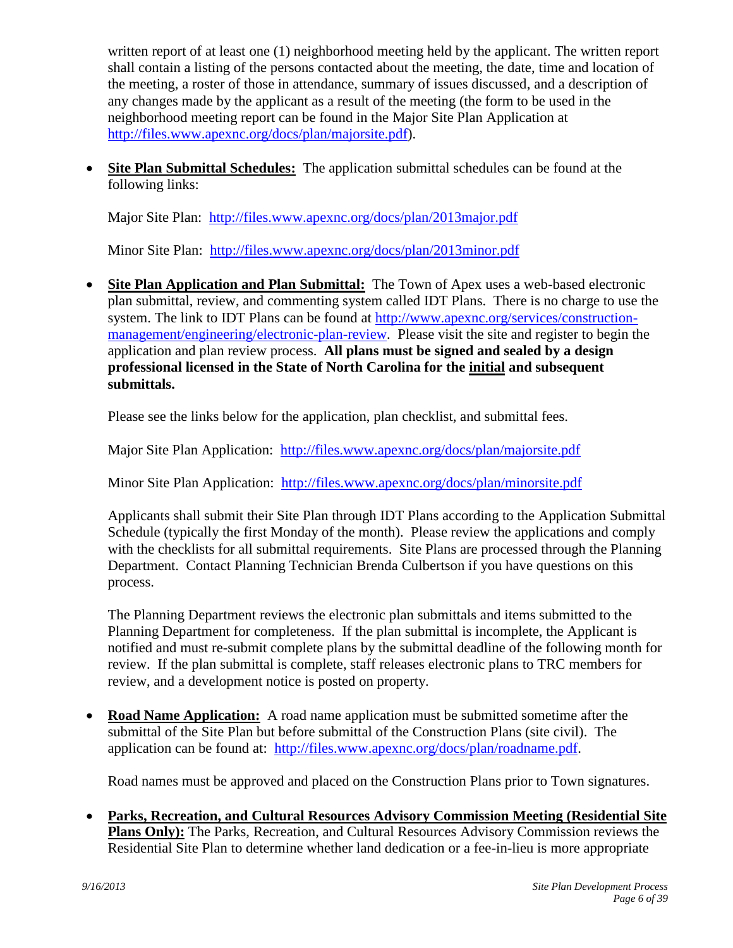written report of at least one (1) neighborhood meeting held by the applicant. The written report shall contain a listing of the persons contacted about the meeting, the date, time and location of the meeting, a roster of those in attendance, summary of issues discussed, and a description of any changes made by the applicant as a result of the meeting (the form to be used in the neighborhood meeting report can be found in the Major Site Plan Application at [http://files.www.apexnc.org/docs/plan/majorsite.pdf\)](http://files.www.apexnc.org/docs/plan/majorsite.pdf).

 **Site Plan Submittal Schedules:** The application submittal schedules can be found at the following links:

<span id="page-5-0"></span>Major Site Plan: <http://files.www.apexnc.org/docs/plan/2013major.pdf>

<span id="page-5-1"></span>Minor Site Plan: <http://files.www.apexnc.org/docs/plan/2013minor.pdf>

 **Site Plan Application and Plan Submittal:** The Town of Apex uses a web-based electronic plan submittal, review, and commenting system called IDT Plans. There is no charge to use the system. The link to IDT Plans can be found at [http://www.apexnc.org/services/construction](http://www.apexnc.org/services/construction-management/engineering/electronic-plan-review)[management/engineering/electronic-plan-review.](http://www.apexnc.org/services/construction-management/engineering/electronic-plan-review) Please visit the site and register to begin the application and plan review process. **All plans must be signed and sealed by a design professional licensed in the State of North Carolina for the initial and subsequent submittals.**

Please see the links below for the application, plan checklist, and submittal fees.

Major Site Plan Application: <http://files.www.apexnc.org/docs/plan/majorsite.pdf>

Minor Site Plan Application: <http://files.www.apexnc.org/docs/plan/minorsite.pdf>

Applicants shall submit their Site Plan through IDT Plans according to the Application Submittal Schedule (typically the first Monday of the month). Please review the applications and comply with the checklists for all submittal requirements. Site Plans are processed through the Planning Department. Contact Planning Technician Brenda Culbertson if you have questions on this process.

The Planning Department reviews the electronic plan submittals and items submitted to the Planning Department for completeness. If the plan submittal is incomplete, the Applicant is notified and must re-submit complete plans by the submittal deadline of the following month for review. If the plan submittal is complete, staff releases electronic plans to TRC members for review, and a development notice is posted on property.

 **Road Name Application:** A road name application must be submitted sometime after the submittal of the Site Plan but before submittal of the Construction Plans (site civil). The application can be found at: [http://files.www.apexnc.org/docs/plan/roadname.pdf.](http://files.www.apexnc.org/docs/plan/roadname.pdf)

<span id="page-5-3"></span><span id="page-5-2"></span>Road names must be approved and placed on the Construction Plans prior to Town signatures.

 **Parks, Recreation, and Cultural Resources Advisory Commission Meeting (Residential Site Plans Only):** The Parks, Recreation, and Cultural Resources Advisory Commission reviews the Residential Site Plan to determine whether land dedication or a fee-in-lieu is more appropriate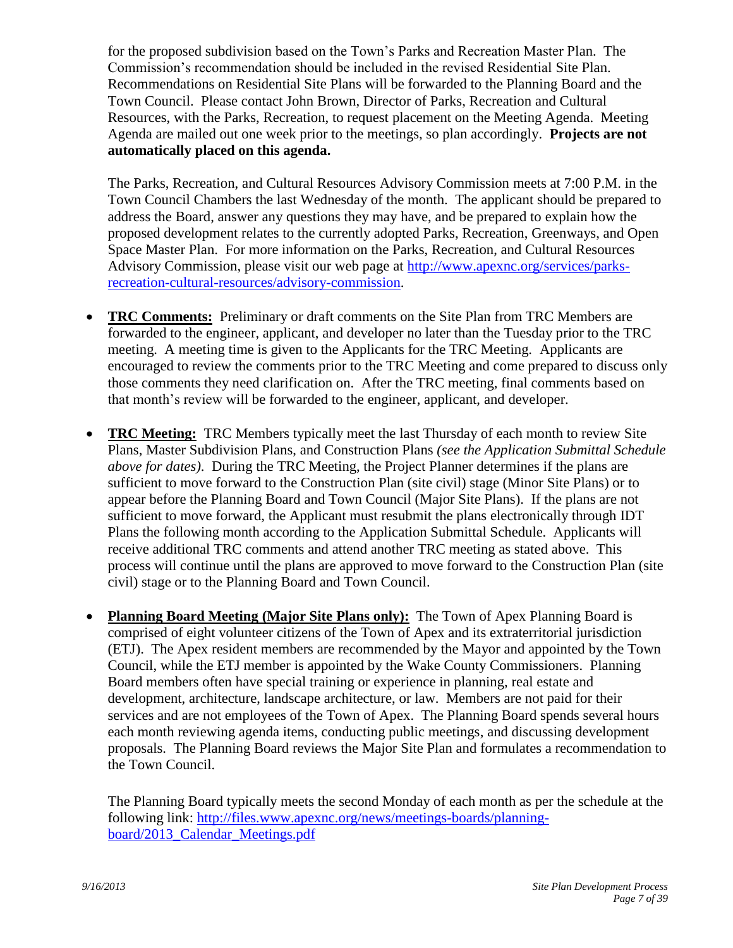for the proposed subdivision based on the Town's Parks and Recreation Master Plan. The Commission's recommendation should be included in the revised Residential Site Plan. Recommendations on Residential Site Plans will be forwarded to the Planning Board and the Town Council. Please contact John Brown, Director of Parks, Recreation and Cultural Resources, with the Parks, Recreation, to request placement on the Meeting Agenda. Meeting Agenda are mailed out one week prior to the meetings, so plan accordingly. **Projects are not automatically placed on this agenda.**

The Parks, Recreation, and Cultural Resources Advisory Commission meets at 7:00 P.M. in the Town Council Chambers the last Wednesday of the month. The applicant should be prepared to address the Board, answer any questions they may have, and be prepared to explain how the proposed development relates to the currently adopted Parks, Recreation, Greenways, and Open Space Master Plan. For more information on the Parks, Recreation, and Cultural Resources Advisory Commission, please visit our web page at [http://www.apexnc.org/services/parks](http://www.apexnc.org/services/parks-recreation-cultural-resources/advisory-commission)[recreation-cultural-resources/advisory-commission.](http://www.apexnc.org/services/parks-recreation-cultural-resources/advisory-commission)

- <span id="page-6-0"></span> **TRC Comments:** Preliminary or draft comments on the Site Plan from TRC Members are forwarded to the engineer, applicant, and developer no later than the Tuesday prior to the TRC meeting. A meeting time is given to the Applicants for the TRC Meeting. Applicants are encouraged to review the comments prior to the TRC Meeting and come prepared to discuss only those comments they need clarification on. After the TRC meeting, final comments based on that month's review will be forwarded to the engineer, applicant, and developer.
- <span id="page-6-1"></span> **TRC Meeting:** TRC Members typically meet the last Thursday of each month to review Site Plans, Master Subdivision Plans, and Construction Plans *(see the Application Submittal Schedule above for dates)*. During the TRC Meeting, the Project Planner determines if the plans are sufficient to move forward to the Construction Plan (site civil) stage (Minor Site Plans) or to appear before the Planning Board and Town Council (Major Site Plans). If the plans are not sufficient to move forward, the Applicant must resubmit the plans electronically through IDT Plans the following month according to the Application Submittal Schedule. Applicants will receive additional TRC comments and attend another TRC meeting as stated above. This process will continue until the plans are approved to move forward to the Construction Plan (site civil) stage or to the Planning Board and Town Council.
- <span id="page-6-2"></span> **Planning Board Meeting (Major Site Plans only):** The Town of Apex Planning Board is comprised of eight volunteer citizens of the Town of Apex and its extraterritorial jurisdiction (ETJ). The Apex resident members are recommended by the Mayor and appointed by the Town Council, while the ETJ member is appointed by the Wake County Commissioners. Planning Board members often have special training or experience in planning, real estate and development, architecture, landscape architecture, or law. Members are not paid for their services and are not employees of the Town of Apex. The Planning Board spends several hours each month reviewing agenda items, conducting public meetings, and discussing development proposals. The Planning Board reviews the Major Site Plan and formulates a recommendation to the Town Council.

The Planning Board typically meets the second Monday of each month as per the schedule at the following link: [http://files.www.apexnc.org/news/meetings-boards/planning](http://files.www.apexnc.org/news/meetings-boards/planning-board/2013_Calendar_Meetings.pdf)[board/2013\\_Calendar\\_Meetings.pdf](http://files.www.apexnc.org/news/meetings-boards/planning-board/2013_Calendar_Meetings.pdf)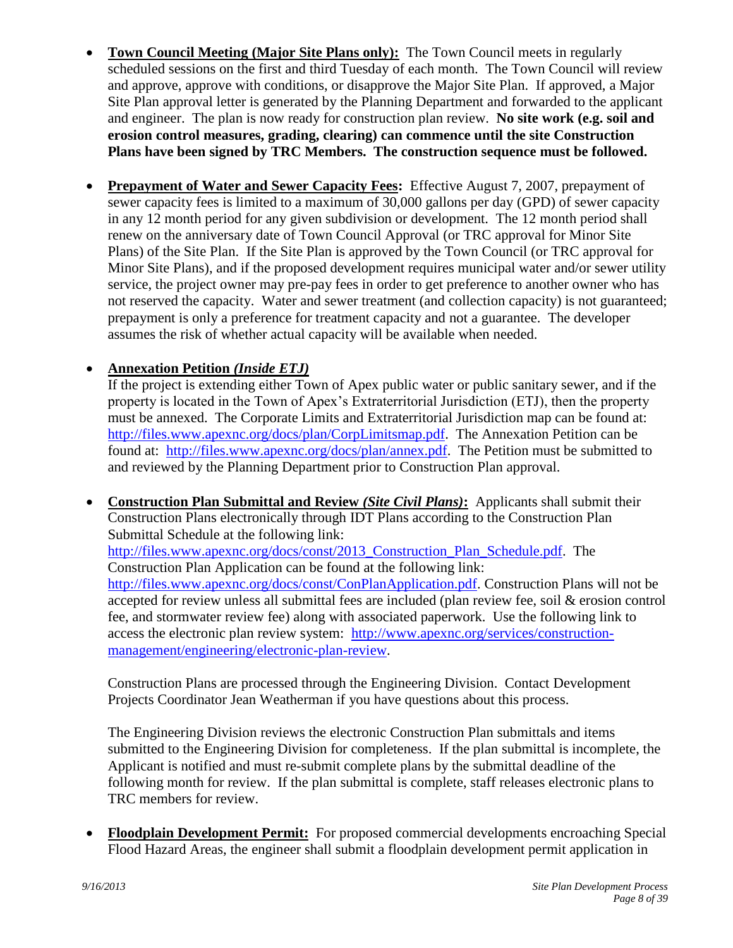- <span id="page-7-0"></span> **Town Council Meeting (Major Site Plans only):** The Town Council meets in regularly scheduled sessions on the first and third Tuesday of each month. The Town Council will review and approve, approve with conditions, or disapprove the Major Site Plan. If approved, a Major Site Plan approval letter is generated by the Planning Department and forwarded to the applicant and engineer. The plan is now ready for construction plan review. **No site work (e.g. soil and erosion control measures, grading, clearing) can commence until the site Construction Plans have been signed by TRC Members. The construction sequence must be followed.**
- <span id="page-7-1"></span>**Prepayment of Water and Sewer Capacity Fees:** Effective August 7, 2007, prepayment of sewer capacity fees is limited to a maximum of 30,000 gallons per day (GPD) of sewer capacity in any 12 month period for any given subdivision or development. The 12 month period shall renew on the anniversary date of Town Council Approval (or TRC approval for Minor Site Plans) of the Site Plan. If the Site Plan is approved by the Town Council (or TRC approval for Minor Site Plans), and if the proposed development requires municipal water and/or sewer utility service, the project owner may pre-pay fees in order to get preference to another owner who has not reserved the capacity. Water and sewer treatment (and collection capacity) is not guaranteed; prepayment is only a preference for treatment capacity and not a guarantee. The developer assumes the risk of whether actual capacity will be available when needed.

# **Annexation Petition** *(Inside ETJ)*

<span id="page-7-3"></span><span id="page-7-2"></span>If the project is extending either Town of Apex public water or public sanitary sewer, and if the property is located in the Town of Apex's Extraterritorial Jurisdiction (ETJ), then the property must be annexed. The Corporate Limits and Extraterritorial Jurisdiction map can be found at: [http://files.www.apexnc.org/docs/plan/CorpLimitsmap.pdf.](http://files.www.apexnc.org/docs/plan/CorpLimitsmap.pdf) The Annexation Petition can be found at: [http://files.www.apexnc.org/docs/plan/annex.pdf.](http://files.www.apexnc.org/docs/plan/annex.pdf) The Petition must be submitted to and reviewed by the Planning Department prior to Construction Plan approval.

 **Construction Plan Submittal and Review** *(Site Civil Plans)***:** Applicants shall submit their Construction Plans electronically through IDT Plans according to the Construction Plan Submittal Schedule at the following link: [http://files.www.apexnc.org/docs/const/2013\\_Construction\\_Plan\\_Schedule.pdf.](http://files.www.apexnc.org/docs/const/2013_Construction_Plan_Schedule.pdf) The Construction Plan Application can be found at the following link: [http://files.www.apexnc.org/docs/const/ConPlanApplication.pdf.](http://files.www.apexnc.org/docs/const/ConPlanApplication.pdf) Construction Plans will not be accepted for review unless all submittal fees are included (plan review fee, soil & erosion control fee, and stormwater review fee) along with associated paperwork. Use the following link to access the electronic plan review system: [http://www.apexnc.org/services/construction](http://www.apexnc.org/services/construction-management/engineering/electronic-plan-review)[management/engineering/electronic-plan-review.](http://www.apexnc.org/services/construction-management/engineering/electronic-plan-review)

Construction Plans are processed through the Engineering Division. Contact Development Projects Coordinator Jean Weatherman if you have questions about this process.

The Engineering Division reviews the electronic Construction Plan submittals and items submitted to the Engineering Division for completeness. If the plan submittal is incomplete, the Applicant is notified and must re-submit complete plans by the submittal deadline of the following month for review. If the plan submittal is complete, staff releases electronic plans to TRC members for review.

<span id="page-7-4"></span> **Floodplain Development Permit:** For proposed commercial developments encroaching Special Flood Hazard Areas, the engineer shall submit a floodplain development permit application in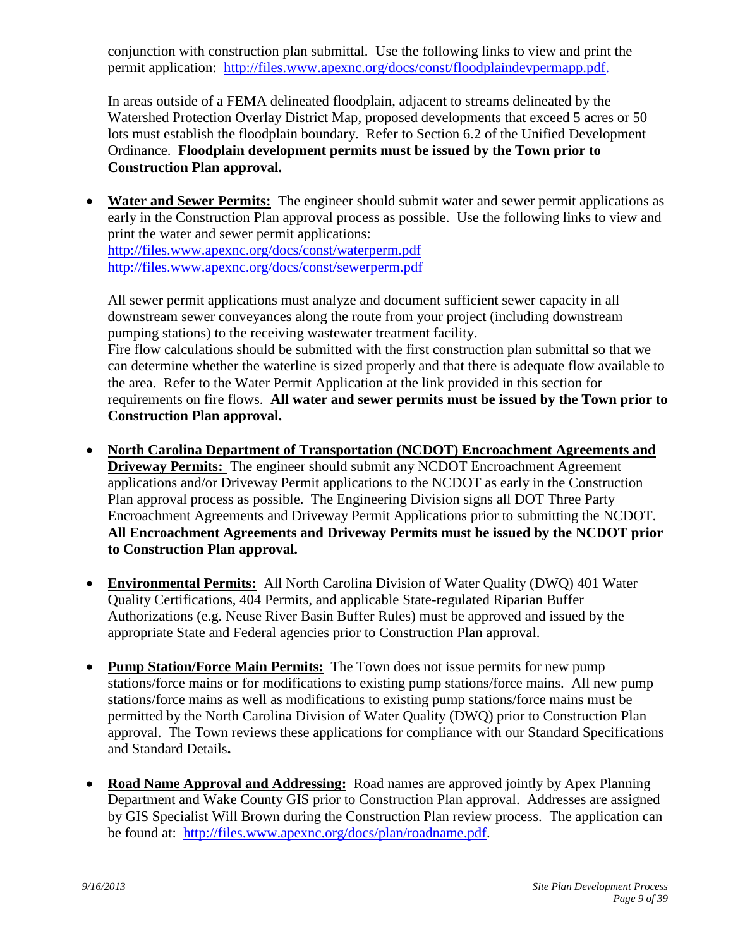conjunction with construction plan submittal. Use the following links to view and print the permit application: [http://files.www.apexnc.org/docs/const/floodplaindevpermapp.pdf.](http://files.www.apexnc.org/docs/const/floodplaindevpermapp.pdf)

In areas outside of a FEMA delineated floodplain, adjacent to streams delineated by the Watershed Protection Overlay District Map, proposed developments that exceed 5 acres or 50 lots must establish the floodplain boundary. Refer to Section 6.2 of the Unified Development Ordinance. **Floodplain development permits must be issued by the Town prior to Construction Plan approval.**

<span id="page-8-0"></span> **Water and Sewer Permits:** The engineer should submit water and sewer permit applications as early in the Construction Plan approval process as possible. Use the following links to view and print the water and sewer permit applications: <http://files.www.apexnc.org/docs/const/waterperm.pdf> <http://files.www.apexnc.org/docs/const/sewerperm.pdf>

All sewer permit applications must analyze and document sufficient sewer capacity in all downstream sewer conveyances along the route from your project (including downstream pumping stations) to the receiving wastewater treatment facility. Fire flow calculations should be submitted with the first construction plan submittal so that we can determine whether the waterline is sized properly and that there is adequate flow available to the area. Refer to the Water Permit Application at the link provided in this section for requirements on fire flows. **All water and sewer permits must be issued by the Town prior to Construction Plan approval.**

- <span id="page-8-1"></span> **North Carolina Department of Transportation (NCDOT) Encroachment Agreements and Driveway Permits:** The engineer should submit any NCDOT Encroachment Agreement applications and/or Driveway Permit applications to the NCDOT as early in the Construction Plan approval process as possible. The Engineering Division signs all DOT Three Party Encroachment Agreements and Driveway Permit Applications prior to submitting the NCDOT. **All Encroachment Agreements and Driveway Permits must be issued by the NCDOT prior to Construction Plan approval.**
- <span id="page-8-2"></span> **Environmental Permits:** All North Carolina Division of Water Quality (DWQ) 401 Water Quality Certifications, 404 Permits, and applicable State-regulated Riparian Buffer Authorizations (e.g. Neuse River Basin Buffer Rules) must be approved and issued by the appropriate State and Federal agencies prior to Construction Plan approval.
- <span id="page-8-3"></span> **Pump Station/Force Main Permits:** The Town does not issue permits for new pump stations/force mains or for modifications to existing pump stations/force mains. All new pump stations/force mains as well as modifications to existing pump stations/force mains must be permitted by the North Carolina Division of Water Quality (DWQ) prior to Construction Plan approval. The Town reviews these applications for compliance with our Standard Specifications and Standard Details**.**
- <span id="page-8-4"></span> **Road Name Approval and Addressing:** Road names are approved jointly by Apex Planning Department and Wake County GIS prior to Construction Plan approval. Addresses are assigned by GIS Specialist Will Brown during the Construction Plan review process. The application can be found at: [http://files.www.apexnc.org/docs/plan/roadname.pdf.](http://files.www.apexnc.org/docs/plan/roadname.pdf)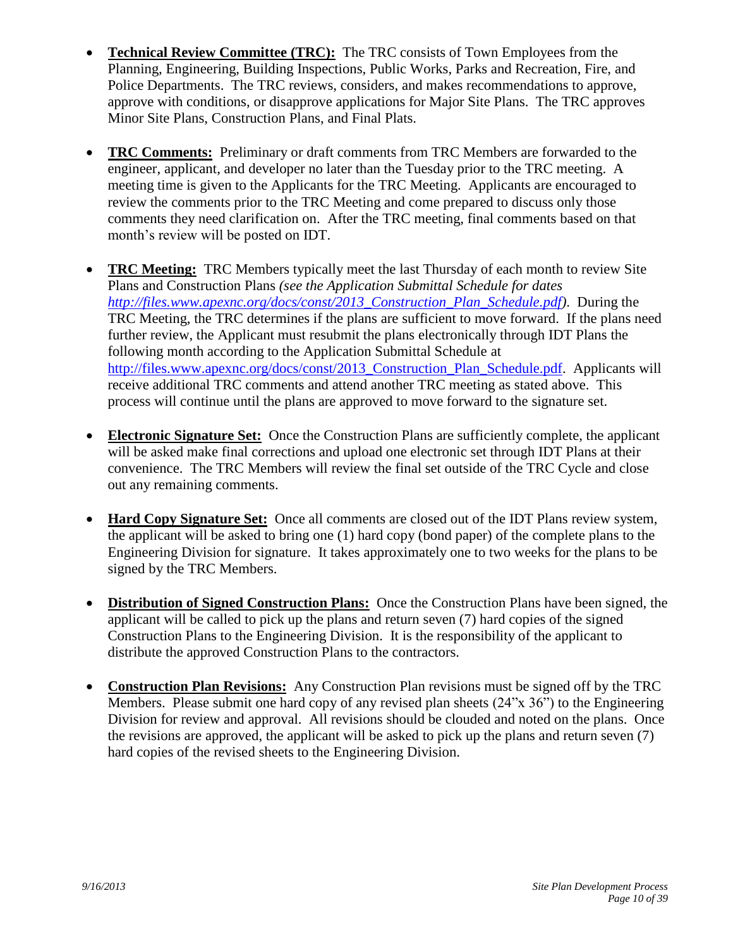- <span id="page-9-0"></span> **Technical Review Committee (TRC):** The TRC consists of Town Employees from the Planning, Engineering, Building Inspections, Public Works, Parks and Recreation, Fire, and Police Departments. The TRC reviews, considers, and makes recommendations to approve, approve with conditions, or disapprove applications for Major Site Plans. The TRC approves Minor Site Plans, Construction Plans, and Final Plats.
- <span id="page-9-1"></span> **TRC Comments:** Preliminary or draft comments from TRC Members are forwarded to the engineer, applicant, and developer no later than the Tuesday prior to the TRC meeting. A meeting time is given to the Applicants for the TRC Meeting. Applicants are encouraged to review the comments prior to the TRC Meeting and come prepared to discuss only those comments they need clarification on. After the TRC meeting, final comments based on that month's review will be posted on IDT.
- <span id="page-9-2"></span> **TRC Meeting:** TRC Members typically meet the last Thursday of each month to review Site Plans and Construction Plans *(see the Application Submittal Schedule for dates [http://files.www.apexnc.org/docs/const/2013\\_Construction\\_Plan\\_Schedule.pdf\)](http://files.www.apexnc.org/docs/const/2013_Construction_Plan_Schedule.pdf)*. During the TRC Meeting, the TRC determines if the plans are sufficient to move forward. If the plans need further review, the Applicant must resubmit the plans electronically through IDT Plans the following month according to the Application Submittal Schedule at [http://files.www.apexnc.org/docs/const/2013\\_Construction\\_Plan\\_Schedule.pdf.](http://files.www.apexnc.org/docs/const/2013_Construction_Plan_Schedule.pdf) Applicants will receive additional TRC comments and attend another TRC meeting as stated above. This process will continue until the plans are approved to move forward to the signature set.
- <span id="page-9-3"></span> **Electronic Signature Set:** Once the Construction Plans are sufficiently complete, the applicant will be asked make final corrections and upload one electronic set through IDT Plans at their convenience. The TRC Members will review the final set outside of the TRC Cycle and close out any remaining comments.
- <span id="page-9-4"></span> **Hard Copy Signature Set:** Once all comments are closed out of the IDT Plans review system, the applicant will be asked to bring one (1) hard copy (bond paper) of the complete plans to the Engineering Division for signature. It takes approximately one to two weeks for the plans to be signed by the TRC Members.
- <span id="page-9-5"></span> **Distribution of Signed Construction Plans:** Once the Construction Plans have been signed, the applicant will be called to pick up the plans and return seven (7) hard copies of the signed Construction Plans to the Engineering Division. It is the responsibility of the applicant to distribute the approved Construction Plans to the contractors.
- <span id="page-9-6"></span> **Construction Plan Revisions:** Any Construction Plan revisions must be signed off by the TRC Members. Please submit one hard copy of any revised plan sheets (24"x 36") to the Engineering Division for review and approval. All revisions should be clouded and noted on the plans. Once the revisions are approved, the applicant will be asked to pick up the plans and return seven (7) hard copies of the revised sheets to the Engineering Division.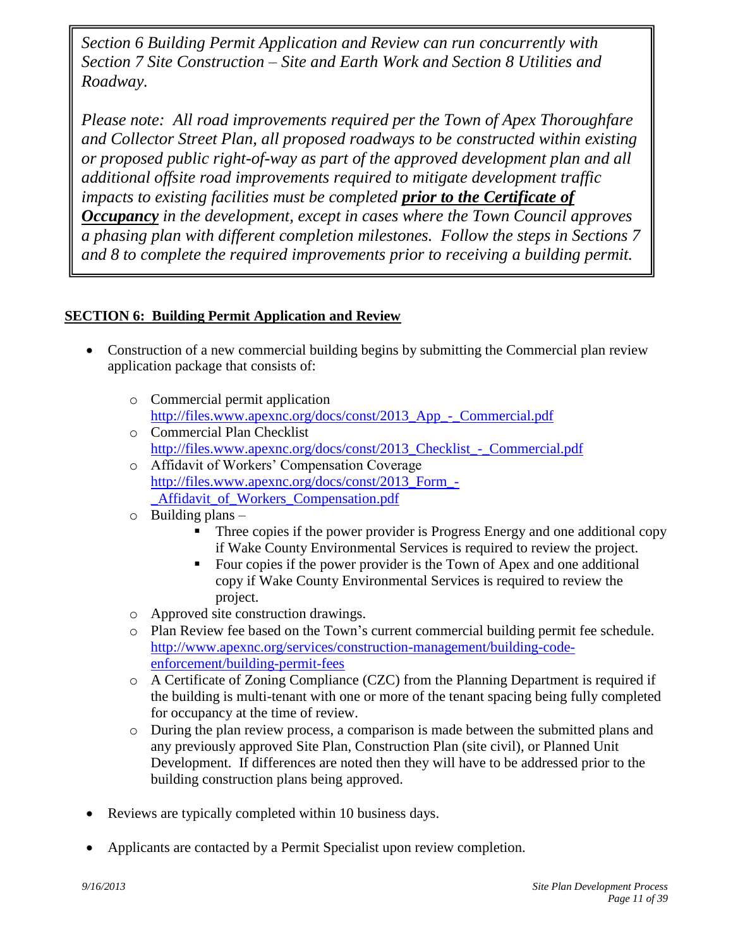*Section 6 Building Permit Application and Review can run concurrently with Section 7 Site Construction – Site and Earth Work and Section 8 Utilities and Roadway.*

*Please note: All road improvements required per the Town of Apex Thoroughfare and Collector Street Plan, all proposed roadways to be constructed within existing or proposed public right-of-way as part of the approved development plan and all additional offsite road improvements required to mitigate development traffic impacts to existing facilities must be completed prior to the Certificate of Occupancy in the development, except in cases where the Town Council approves a phasing plan with different completion milestones. Follow the steps in Sections 7 and 8 to complete the required improvements prior to receiving a building permit.*

# **SECTION 6: Building Permit Application and Review**

- <span id="page-10-0"></span>• Construction of a new commercial building begins by submitting the Commercial plan review application package that consists of:
	- o Commercial permit application [http://files.www.apexnc.org/docs/const/2013\\_App\\_-\\_Commercial.pdf](http://files.www.apexnc.org/docs/const/2013_App_-_Commercial.pdf)
	- o Commercial Plan Checklist http://files.www.apexnc.org/docs/const/2013 Checklist - Commercial.pdf
	- o Affidavit of Workers' Compensation Coverage [http://files.www.apexnc.org/docs/const/2013\\_Form\\_-](http://files.www.apexnc.org/docs/const/2013_Form_-_Affidavit_of_Workers_Compensation.pdf) [\\_Affidavit\\_of\\_Workers\\_Compensation.pdf](http://files.www.apexnc.org/docs/const/2013_Form_-_Affidavit_of_Workers_Compensation.pdf)
	- $\circ$  Building plans
		- Three copies if the power provider is Progress Energy and one additional copy if Wake County Environmental Services is required to review the project.
		- Four copies if the power provider is the Town of Apex and one additional copy if Wake County Environmental Services is required to review the project.
	- o Approved site construction drawings.
	- o Plan Review fee based on the Town's current commercial building permit fee schedule. [http://www.apexnc.org/services/construction-management/building-code](http://www.apexnc.org/services/construction-management/building-code-enforcement/building-permit-fees)[enforcement/building-permit-fees](http://www.apexnc.org/services/construction-management/building-code-enforcement/building-permit-fees)
	- o A Certificate of Zoning Compliance (CZC) from the Planning Department is required if the building is multi-tenant with one or more of the tenant spacing being fully completed for occupancy at the time of review.
	- o During the plan review process, a comparison is made between the submitted plans and any previously approved Site Plan, Construction Plan (site civil), or Planned Unit Development. If differences are noted then they will have to be addressed prior to the building construction plans being approved.
- Reviews are typically completed within 10 business days.
- Applicants are contacted by a Permit Specialist upon review completion.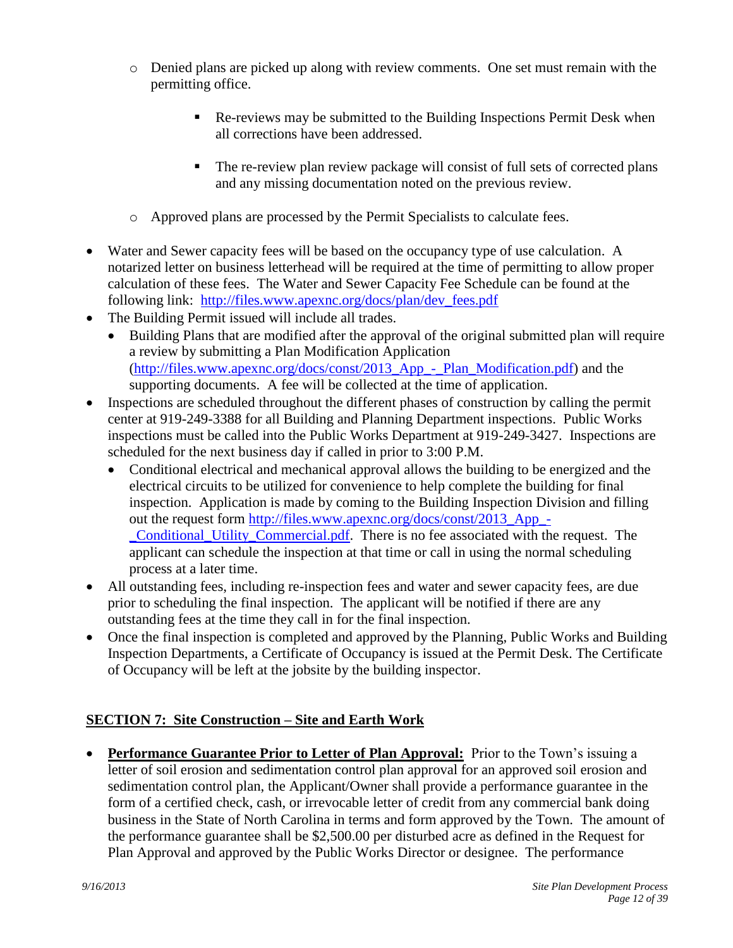- o Denied plans are picked up along with review comments. One set must remain with the permitting office.
	- Re-reviews may be submitted to the Building Inspections Permit Desk when all corrections have been addressed.
	- The re-review plan review package will consist of full sets of corrected plans and any missing documentation noted on the previous review.
- o Approved plans are processed by the Permit Specialists to calculate fees.
- Water and Sewer capacity fees will be based on the occupancy type of use calculation. A notarized letter on business letterhead will be required at the time of permitting to allow proper calculation of these fees. The Water and Sewer Capacity Fee Schedule can be found at the following link: [http://files.www.apexnc.org/docs/plan/dev\\_fees.pdf](http://files.www.apexnc.org/docs/plan/dev_fees.pdf)
- The Building Permit issued will include all trades.
	- Building Plans that are modified after the approval of the original submitted plan will require a review by submitting a Plan Modification Application [\(http://files.www.apexnc.org/docs/const/2013\\_App\\_-\\_Plan\\_Modification.pdf\)](http://files.www.apexnc.org/docs/const/2013_App_-_Plan_Modification.pdf) and the supporting documents. A fee will be collected at the time of application.
- Inspections are scheduled throughout the different phases of construction by calling the permit center at 919-249-3388 for all Building and Planning Department inspections. Public Works inspections must be called into the Public Works Department at 919-249-3427. Inspections are scheduled for the next business day if called in prior to 3:00 P.M.
	- Conditional electrical and mechanical approval allows the building to be energized and the electrical circuits to be utilized for convenience to help complete the building for final inspection. Application is made by coming to the Building Inspection Division and filling out the request form [http://files.www.apexnc.org/docs/const/2013\\_App\\_-](http://files.www.apexnc.org/docs/const/2013_App_-_Conditional_Utility_Commercial.pdf) [\\_Conditional\\_Utility\\_Commercial.pdf.](http://files.www.apexnc.org/docs/const/2013_App_-_Conditional_Utility_Commercial.pdf) There is no fee associated with the request. The applicant can schedule the inspection at that time or call in using the normal scheduling process at a later time.
- All outstanding fees, including re-inspection fees and water and sewer capacity fees, are due prior to scheduling the final inspection. The applicant will be notified if there are any outstanding fees at the time they call in for the final inspection.
- Once the final inspection is completed and approved by the Planning, Public Works and Building Inspection Departments, a Certificate of Occupancy is issued at the Permit Desk. The Certificate of Occupancy will be left at the jobsite by the building inspector.

## <span id="page-11-0"></span>**SECTION 7: Site Construction – Site and Earth Work**

<span id="page-11-1"></span> **Performance Guarantee Prior to Letter of Plan Approval:** Prior to the Town's issuing a letter of soil erosion and sedimentation control plan approval for an approved soil erosion and sedimentation control plan, the Applicant/Owner shall provide a performance guarantee in the form of a certified check, cash, or irrevocable letter of credit from any commercial bank doing business in the State of North Carolina in terms and form approved by the Town. The amount of the performance guarantee shall be \$2,500.00 per disturbed acre as defined in the Request for Plan Approval and approved by the Public Works Director or designee. The performance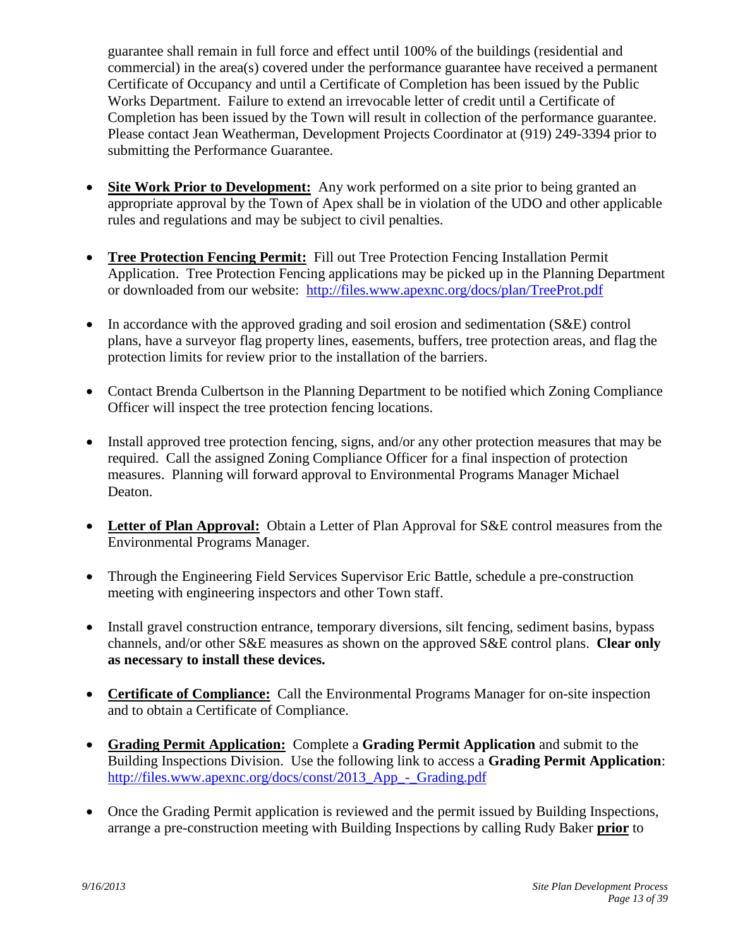guarantee shall remain in full force and effect until 100% of the buildings (residential and commercial) in the area(s) covered under the performance guarantee have received a permanent Certificate of Occupancy and until a Certificate of Completion has been issued by the Public Works Department. Failure to extend an irrevocable letter of credit until a Certificate of Completion has been issued by the Town will result in collection of the performance guarantee. Please contact Jean Weatherman, Development Projects Coordinator at (919) 249-3394 prior to submitting the Performance Guarantee.

- <span id="page-12-0"></span> **Site Work Prior to Development:** Any work performed on a site prior to being granted an appropriate approval by the Town of Apex shall be in violation of the UDO and other applicable rules and regulations and may be subject to civil penalties.
- <span id="page-12-1"></span> **Tree Protection Fencing Permit:** Fill out Tree Protection Fencing Installation Permit Application. Tree Protection Fencing applications may be picked up in the Planning Department or downloaded from our website: <http://files.www.apexnc.org/docs/plan/TreeProt.pdf>
- In accordance with the approved grading and soil erosion and sedimentation (S&E) control plans, have a surveyor flag property lines, easements, buffers, tree protection areas, and flag the protection limits for review prior to the installation of the barriers.
- Contact Brenda Culbertson in the Planning Department to be notified which Zoning Compliance Officer will inspect the tree protection fencing locations.
- Install approved tree protection fencing, signs, and/or any other protection measures that may be required. Call the assigned Zoning Compliance Officer for a final inspection of protection measures. Planning will forward approval to Environmental Programs Manager Michael Deaton.
- <span id="page-12-2"></span>• Letter of Plan Approval: Obtain a Letter of Plan Approval for S&E control measures from the Environmental Programs Manager.
- Through the Engineering Field Services Supervisor Eric Battle, schedule a pre-construction meeting with engineering inspectors and other Town staff.
- Install gravel construction entrance, temporary diversions, silt fencing, sediment basins, bypass channels, and/or other S&E measures as shown on the approved S&E control plans. **Clear only as necessary to install these devices.**
- <span id="page-12-3"></span> **Certificate of Compliance:** Call the Environmental Programs Manager for on-site inspection and to obtain a Certificate of Compliance.
- <span id="page-12-4"></span> **Grading Permit Application:** Complete a **Grading Permit Application** and submit to the Building Inspections Division. Use the following link to access a **Grading Permit Application**: http://files.www.apexnc.org/docs/const/2013 App - Grading.pdf
- Once the Grading Permit application is reviewed and the permit issued by Building Inspections, arrange a pre-construction meeting with Building Inspections by calling Rudy Baker **prior** to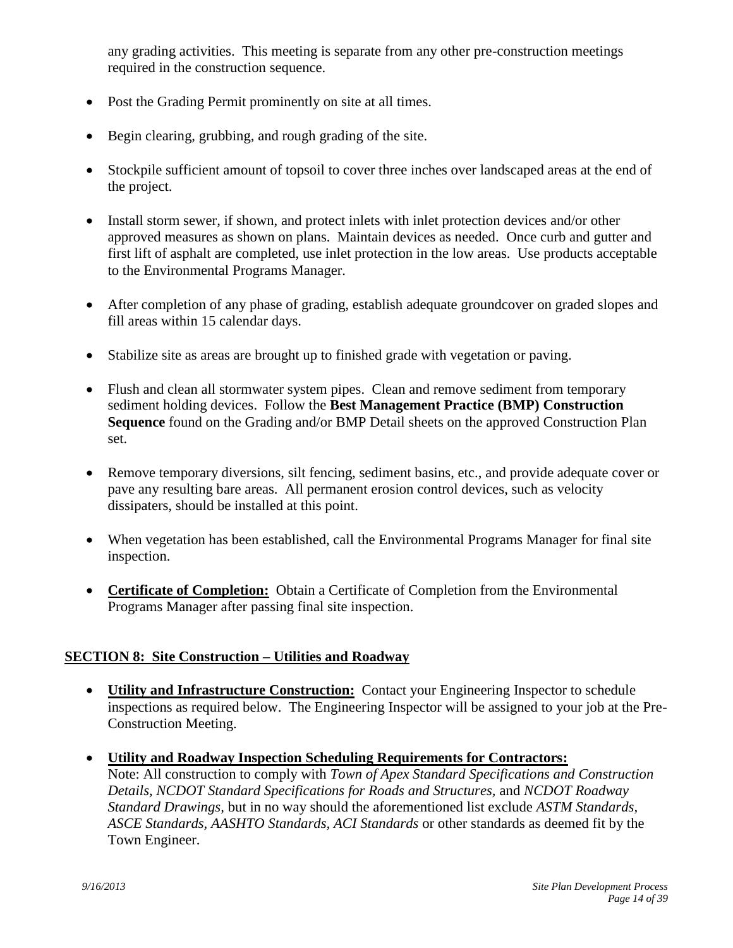any grading activities. This meeting is separate from any other pre-construction meetings required in the construction sequence.

- Post the Grading Permit prominently on site at all times.
- Begin clearing, grubbing, and rough grading of the site.
- Stockpile sufficient amount of topsoil to cover three inches over landscaped areas at the end of the project.
- Install storm sewer, if shown, and protect inlets with inlet protection devices and/or other approved measures as shown on plans. Maintain devices as needed. Once curb and gutter and first lift of asphalt are completed, use inlet protection in the low areas. Use products acceptable to the Environmental Programs Manager.
- After completion of any phase of grading, establish adequate groundcover on graded slopes and fill areas within 15 calendar days.
- Stabilize site as areas are brought up to finished grade with vegetation or paving.
- Flush and clean all stormwater system pipes. Clean and remove sediment from temporary sediment holding devices. Follow the **Best Management Practice (BMP) Construction Sequence** found on the Grading and/or BMP Detail sheets on the approved Construction Plan set.
- Remove temporary diversions, silt fencing, sediment basins, etc., and provide adequate cover or pave any resulting bare areas. All permanent erosion control devices, such as velocity dissipaters, should be installed at this point.
- When vegetation has been established, call the Environmental Programs Manager for final site inspection.
- <span id="page-13-0"></span> **Certificate of Completion:** Obtain a Certificate of Completion from the Environmental Programs Manager after passing final site inspection.

## **SECTION 8: Site Construction – Utilities and Roadway**

- <span id="page-13-2"></span><span id="page-13-1"></span> **Utility and Infrastructure Construction:** Contact your Engineering Inspector to schedule inspections as required below. The Engineering Inspector will be assigned to your job at the Pre-Construction Meeting.
- <span id="page-13-3"></span> **Utility and Roadway Inspection Scheduling Requirements for Contractors:** Note: All construction to comply with *Town of Apex Standard Specifications and Construction Details, NCDOT Standard Specifications for Roads and Structures,* and *NCDOT Roadway Standard Drawings,* but in no way should the aforementioned list exclude *ASTM Standards, ASCE Standards, AASHTO Standards, ACI Standards* or other standards as deemed fit by the Town Engineer.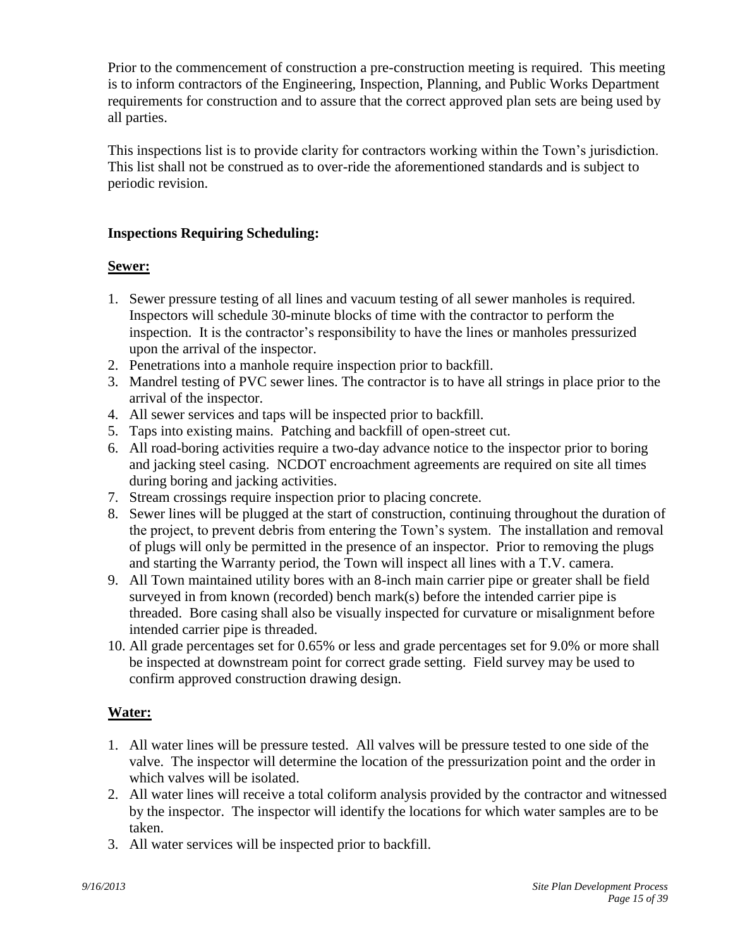Prior to the commencement of construction a pre-construction meeting is required. This meeting is to inform contractors of the Engineering, Inspection, Planning, and Public Works Department requirements for construction and to assure that the correct approved plan sets are being used by all parties.

This inspections list is to provide clarity for contractors working within the Town's jurisdiction. This list shall not be construed as to over-ride the aforementioned standards and is subject to periodic revision.

## **Inspections Requiring Scheduling:**

# **Sewer:**

- 1. Sewer pressure testing of all lines and vacuum testing of all sewer manholes is required. Inspectors will schedule 30-minute blocks of time with the contractor to perform the inspection. It is the contractor's responsibility to have the lines or manholes pressurized upon the arrival of the inspector.
- 2. Penetrations into a manhole require inspection prior to backfill.
- 3. Mandrel testing of PVC sewer lines. The contractor is to have all strings in place prior to the arrival of the inspector.
- 4. All sewer services and taps will be inspected prior to backfill.
- 5. Taps into existing mains. Patching and backfill of open-street cut.
- 6. All road-boring activities require a two-day advance notice to the inspector prior to boring and jacking steel casing. NCDOT encroachment agreements are required on site all times during boring and jacking activities.
- 7. Stream crossings require inspection prior to placing concrete.
- 8. Sewer lines will be plugged at the start of construction, continuing throughout the duration of the project, to prevent debris from entering the Town's system. The installation and removal of plugs will only be permitted in the presence of an inspector. Prior to removing the plugs and starting the Warranty period, the Town will inspect all lines with a T.V. camera.
- 9. All Town maintained utility bores with an 8-inch main carrier pipe or greater shall be field surveyed in from known (recorded) bench mark(s) before the intended carrier pipe is threaded. Bore casing shall also be visually inspected for curvature or misalignment before intended carrier pipe is threaded.
- 10. All grade percentages set for 0.65% or less and grade percentages set for 9.0% or more shall be inspected at downstream point for correct grade setting. Field survey may be used to confirm approved construction drawing design.

# **Water:**

- 1. All water lines will be pressure tested. All valves will be pressure tested to one side of the valve. The inspector will determine the location of the pressurization point and the order in which valves will be isolated.
- 2. All water lines will receive a total coliform analysis provided by the contractor and witnessed by the inspector. The inspector will identify the locations for which water samples are to be taken.
- 3. All water services will be inspected prior to backfill.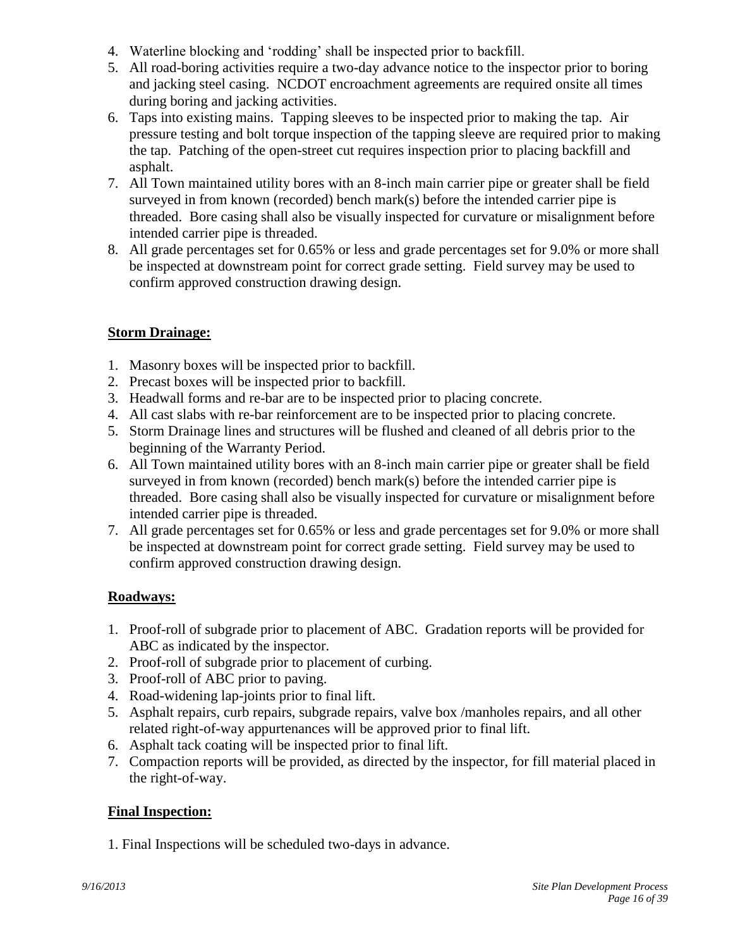- 4. Waterline blocking and 'rodding' shall be inspected prior to backfill.
- 5. All road-boring activities require a two-day advance notice to the inspector prior to boring and jacking steel casing. NCDOT encroachment agreements are required onsite all times during boring and jacking activities.
- 6. Taps into existing mains. Tapping sleeves to be inspected prior to making the tap. Air pressure testing and bolt torque inspection of the tapping sleeve are required prior to making the tap. Patching of the open-street cut requires inspection prior to placing backfill and asphalt.
- 7. All Town maintained utility bores with an 8-inch main carrier pipe or greater shall be field surveyed in from known (recorded) bench mark(s) before the intended carrier pipe is threaded. Bore casing shall also be visually inspected for curvature or misalignment before intended carrier pipe is threaded.
- 8. All grade percentages set for 0.65% or less and grade percentages set for 9.0% or more shall be inspected at downstream point for correct grade setting. Field survey may be used to confirm approved construction drawing design.

# **Storm Drainage:**

- 1. Masonry boxes will be inspected prior to backfill.
- 2. Precast boxes will be inspected prior to backfill.
- 3. Headwall forms and re-bar are to be inspected prior to placing concrete.
- 4. All cast slabs with re-bar reinforcement are to be inspected prior to placing concrete.
- 5. Storm Drainage lines and structures will be flushed and cleaned of all debris prior to the beginning of the Warranty Period.
- 6. All Town maintained utility bores with an 8-inch main carrier pipe or greater shall be field surveyed in from known (recorded) bench mark(s) before the intended carrier pipe is threaded. Bore casing shall also be visually inspected for curvature or misalignment before intended carrier pipe is threaded.
- 7. All grade percentages set for 0.65% or less and grade percentages set for 9.0% or more shall be inspected at downstream point for correct grade setting. Field survey may be used to confirm approved construction drawing design.

# **Roadways:**

- 1. Proof-roll of subgrade prior to placement of ABC. Gradation reports will be provided for ABC as indicated by the inspector.
- 2. Proof-roll of subgrade prior to placement of curbing.
- 3. Proof-roll of ABC prior to paving.
- 4. Road-widening lap-joints prior to final lift.
- 5. Asphalt repairs, curb repairs, subgrade repairs, valve box /manholes repairs, and all other related right-of-way appurtenances will be approved prior to final lift.
- 6. Asphalt tack coating will be inspected prior to final lift.
- 7. Compaction reports will be provided, as directed by the inspector, for fill material placed in the right-of-way.

# **Final Inspection:**

1. Final Inspections will be scheduled two-days in advance.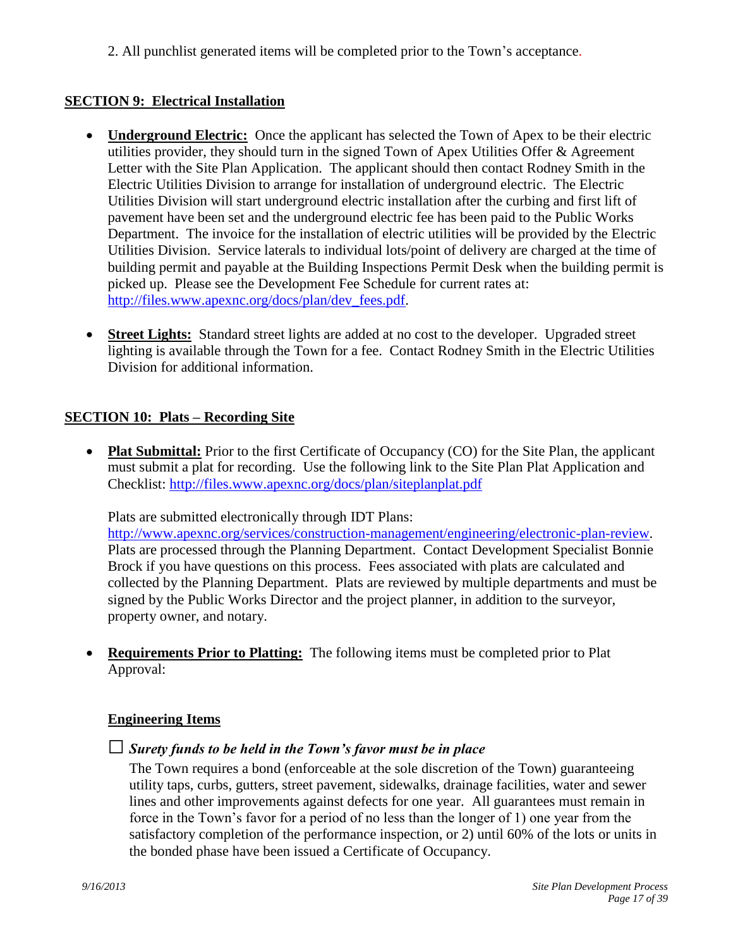<span id="page-16-0"></span>2. All punchlist generated items will be completed prior to the Town's acceptance.

## **SECTION 9: Electrical Installation**

- <span id="page-16-1"></span>• **Underground Electric:** Once the applicant has selected the Town of Apex to be their electric utilities provider, they should turn in the signed Town of Apex Utilities Offer & Agreement Letter with the Site Plan Application. The applicant should then contact Rodney Smith in the Electric Utilities Division to arrange for installation of underground electric. The Electric Utilities Division will start underground electric installation after the curbing and first lift of pavement have been set and the underground electric fee has been paid to the Public Works Department. The invoice for the installation of electric utilities will be provided by the Electric Utilities Division. Service laterals to individual lots/point of delivery are charged at the time of building permit and payable at the Building Inspections Permit Desk when the building permit is picked up. Please see the Development Fee Schedule for current rates at: [http://files.www.apexnc.org/docs/plan/dev\\_fees.pdf.](http://files.www.apexnc.org/docs/plan/dev_fees.pdf)
- <span id="page-16-2"></span>• **Street Lights:** Standard street lights are added at no cost to the developer. Upgraded street lighting is available through the Town for a fee. Contact Rodney Smith in the Electric Utilities Division for additional information.

#### **SECTION 10: Plats – Recording Site**

<span id="page-16-4"></span><span id="page-16-3"></span>• Plat Submittal: Prior to the first Certificate of Occupancy (CO) for the Site Plan, the applicant must submit a plat for recording. Use the following link to the Site Plan Plat Application and Checklist:<http://files.www.apexnc.org/docs/plan/siteplanplat.pdf>

Plats are submitted electronically through IDT Plans:

[http://www.apexnc.org/services/construction-management/engineering/electronic-plan-review.](http://www.apexnc.org/services/construction-management/engineering/electronic-plan-review) Plats are processed through the Planning Department. Contact Development Specialist Bonnie Brock if you have questions on this process. Fees associated with plats are calculated and collected by the Planning Department. Plats are reviewed by multiple departments and must be signed by the Public Works Director and the project planner, in addition to the surveyor, property owner, and notary.

 **Requirements Prior to Platting:** The following items must be completed prior to Plat Approval:

#### <span id="page-16-5"></span>**Engineering Items**

□*Surety funds to be held in the Town's favor must be in place*

The Town requires a bond (enforceable at the sole discretion of the Town) guaranteeing utility taps, curbs, gutters, street pavement, sidewalks, drainage facilities, water and sewer lines and other improvements against defects for one year. All guarantees must remain in force in the Town's favor for a period of no less than the longer of 1) one year from the satisfactory completion of the performance inspection, or 2) until 60% of the lots or units in the bonded phase have been issued a Certificate of Occupancy.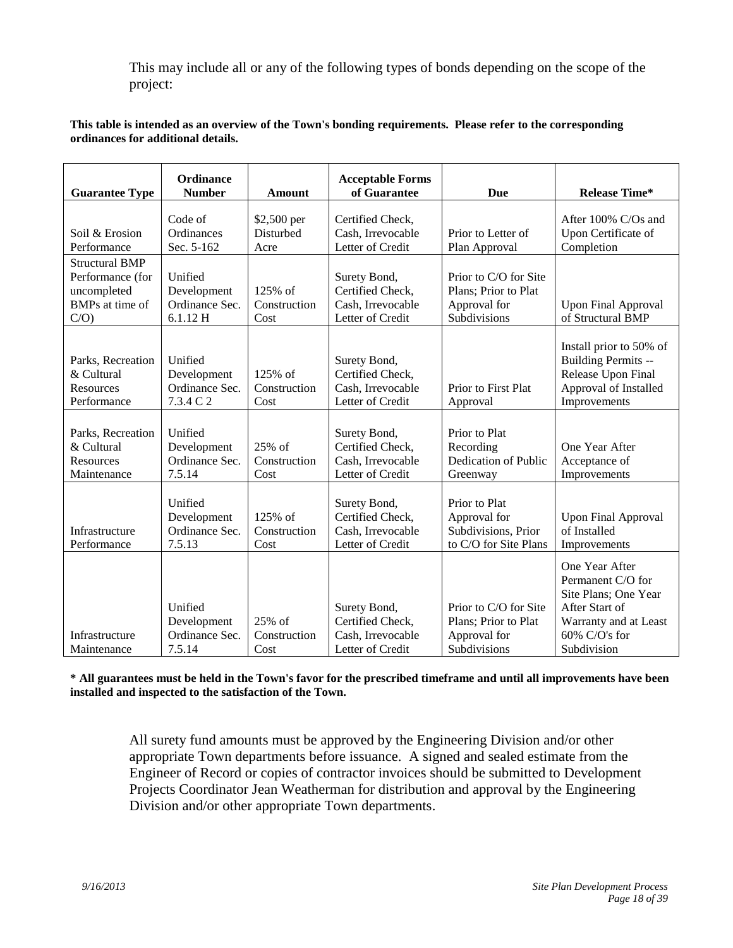This may include all or any of the following types of bonds depending on the scope of the project:

#### **This table is intended as an overview of the Town's bonding requirements. Please refer to the corresponding ordinances for additional details.**

| <b>Guarantee Type</b>                                                              | Ordinance<br><b>Number</b>                            | <b>Amount</b>                    | <b>Acceptable Forms</b><br>of Guarantee                                   | Due                                                                           | <b>Release Time*</b>                                                                                                                      |
|------------------------------------------------------------------------------------|-------------------------------------------------------|----------------------------------|---------------------------------------------------------------------------|-------------------------------------------------------------------------------|-------------------------------------------------------------------------------------------------------------------------------------------|
| Soil & Erosion<br>Performance                                                      | Code of<br>Ordinances<br>Sec. 5-162                   | \$2,500 per<br>Disturbed<br>Acre | Certified Check,<br>Cash, Irrevocable<br>Letter of Credit                 | Prior to Letter of<br>Plan Approval                                           | After 100% C/Os and<br>Upon Certificate of<br>Completion                                                                                  |
| <b>Structural BMP</b><br>Performance (for<br>uncompleted<br>BMPs at time of<br>C/O | Unified<br>Development<br>Ordinance Sec.<br>6.1.12 H  | 125% of<br>Construction<br>Cost  | Surety Bond,<br>Certified Check,<br>Cash, Irrevocable<br>Letter of Credit | Prior to C/O for Site<br>Plans; Prior to Plat<br>Approval for<br>Subdivisions | <b>Upon Final Approval</b><br>of Structural BMP                                                                                           |
| Parks, Recreation<br>& Cultural<br>Resources<br>Performance                        | Unified<br>Development<br>Ordinance Sec.<br>7.3.4 C 2 | 125% of<br>Construction<br>Cost  | Surety Bond,<br>Certified Check,<br>Cash, Irrevocable<br>Letter of Credit | Prior to First Plat<br>Approval                                               | Install prior to 50% of<br>Building Permits --<br>Release Upon Final<br>Approval of Installed<br>Improvements                             |
| Parks, Recreation<br>& Cultural<br>Resources<br>Maintenance                        | Unified<br>Development<br>Ordinance Sec.<br>7.5.14    | $25%$ of<br>Construction<br>Cost | Surety Bond,<br>Certified Check,<br>Cash, Irrevocable<br>Letter of Credit | Prior to Plat<br>Recording<br>Dedication of Public<br>Greenway                | One Year After<br>Acceptance of<br>Improvements                                                                                           |
| Infrastructure<br>Performance                                                      | Unified<br>Development<br>Ordinance Sec.<br>7.5.13    | 125% of<br>Construction<br>Cost  | Surety Bond,<br>Certified Check,<br>Cash, Irrevocable<br>Letter of Credit | Prior to Plat<br>Approval for<br>Subdivisions, Prior<br>to C/O for Site Plans | <b>Upon Final Approval</b><br>of Installed<br>Improvements                                                                                |
| Infrastructure<br>Maintenance                                                      | Unified<br>Development<br>Ordinance Sec.<br>7.5.14    | 25% of<br>Construction<br>Cost   | Surety Bond,<br>Certified Check,<br>Cash, Irrevocable<br>Letter of Credit | Prior to C/O for Site<br>Plans; Prior to Plat<br>Approval for<br>Subdivisions | One Year After<br>Permanent C/O for<br>Site Plans; One Year<br>After Start of<br>Warranty and at Least<br>$60\%$ C/O's for<br>Subdivision |

**\* All guarantees must be held in the Town's favor for the prescribed timeframe and until all improvements have been installed and inspected to the satisfaction of the Town.**

All surety fund amounts must be approved by the Engineering Division and/or other appropriate Town departments before issuance. A signed and sealed estimate from the Engineer of Record or copies of contractor invoices should be submitted to Development Projects Coordinator Jean Weatherman for distribution and approval by the Engineering Division and/or other appropriate Town departments.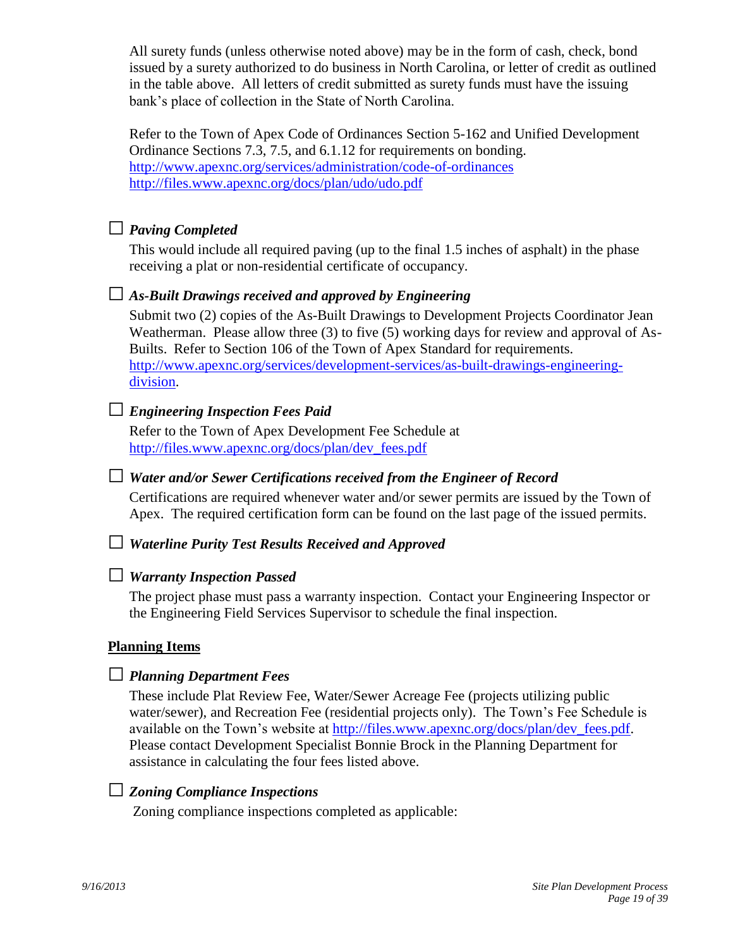All surety funds (unless otherwise noted above) may be in the form of cash, check, bond issued by a surety authorized to do business in North Carolina, or letter of credit as outlined in the table above. All letters of credit submitted as surety funds must have the issuing bank's place of collection in the State of North Carolina.

Refer to the Town of Apex Code of Ordinances Section 5-162 and Unified Development Ordinance Sections 7.3, 7.5, and 6.1.12 for requirements on bonding. <http://www.apexnc.org/services/administration/code-of-ordinances> <http://files.www.apexnc.org/docs/plan/udo/udo.pdf>

# □ *Paving Completed*

This would include all required paving (up to the final 1.5 inches of asphalt) in the phase receiving a plat or non-residential certificate of occupancy.

# □ *As-Built Drawings received and approved by Engineering*

Submit two (2) copies of the As-Built Drawings to Development Projects Coordinator Jean Weatherman. Please allow three (3) to five (5) working days for review and approval of As-Builts. Refer to Section 106 of the Town of Apex Standard for requirements. [http://www.apexnc.org/services/development-services/as-built-drawings-engineering](http://www.apexnc.org/services/development-services/as-built-drawings-engineering-division)[division.](http://www.apexnc.org/services/development-services/as-built-drawings-engineering-division)

# □ *Engineering Inspection Fees Paid*

Refer to the Town of Apex Development Fee Schedule at [http://files.www.apexnc.org/docs/plan/dev\\_fees.pdf](http://files.www.apexnc.org/docs/plan/dev_fees.pdf)

## □ *Water and/or Sewer Certifications received from the Engineer of Record*

Certifications are required whenever water and/or sewer permits are issued by the Town of Apex. The required certification form can be found on the last page of the issued permits.

## □ *Waterline Purity Test Results Received and Approved*

## □ *Warranty Inspection Passed*

The project phase must pass a warranty inspection. Contact your Engineering Inspector or the Engineering Field Services Supervisor to schedule the final inspection.

## **Planning Items**

# □ *Planning Department Fees*

These include Plat Review Fee, Water/Sewer Acreage Fee (projects utilizing public water/sewer), and Recreation Fee (residential projects only). The Town's Fee Schedule is available on the Town's website at [http://files.www.apexnc.org/docs/plan/dev\\_fees.pdf.](http://files.www.apexnc.org/docs/plan/dev_fees.pdf) Please contact Development Specialist Bonnie Brock in the Planning Department for assistance in calculating the four fees listed above.

# □ *Zoning Compliance Inspections*

Zoning compliance inspections completed as applicable: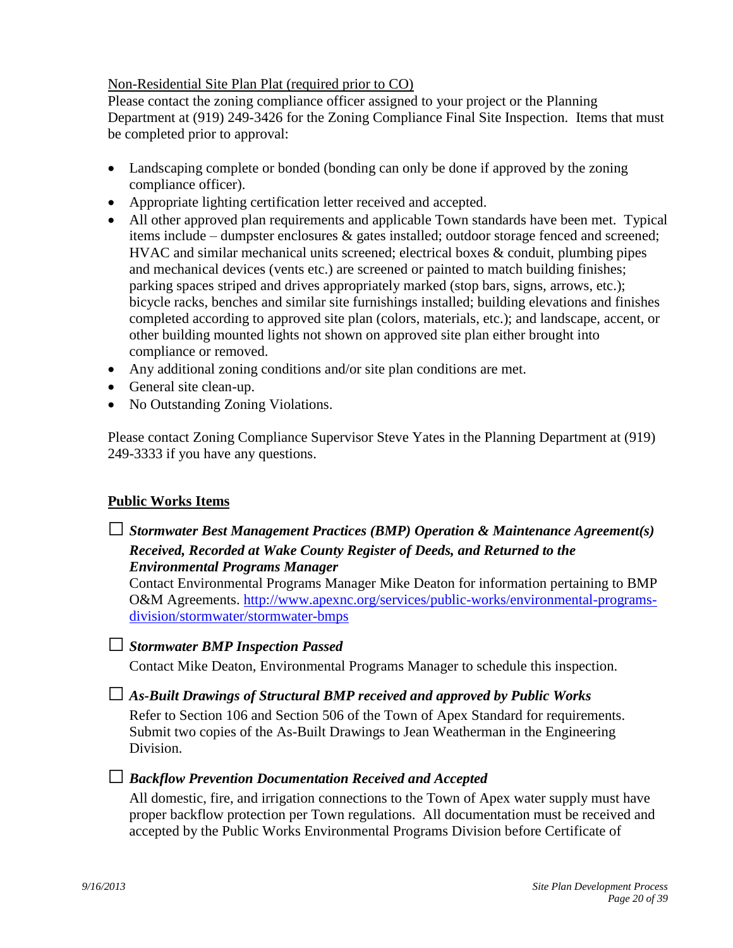#### Non-Residential Site Plan Plat (required prior to CO)

Please contact the zoning compliance officer assigned to your project or the Planning Department at (919) 249-3426 for the Zoning Compliance Final Site Inspection. Items that must be completed prior to approval:

- Landscaping complete or bonded (bonding can only be done if approved by the zoning compliance officer).
- Appropriate lighting certification letter received and accepted.
- All other approved plan requirements and applicable Town standards have been met. Typical items include – dumpster enclosures & gates installed; outdoor storage fenced and screened; HVAC and similar mechanical units screened; electrical boxes & conduit, plumbing pipes and mechanical devices (vents etc.) are screened or painted to match building finishes; parking spaces striped and drives appropriately marked (stop bars, signs, arrows, etc.); bicycle racks, benches and similar site furnishings installed; building elevations and finishes completed according to approved site plan (colors, materials, etc.); and landscape, accent, or other building mounted lights not shown on approved site plan either brought into compliance or removed.
- Any additional zoning conditions and/or site plan conditions are met.
- General site clean-up.
- No Outstanding Zoning Violations.

Please contact Zoning Compliance Supervisor Steve Yates in the Planning Department at (919) 249-3333 if you have any questions.

## **Public Works Items**

□*Stormwater Best Management Practices (BMP) Operation & Maintenance Agreement(s) Received, Recorded at Wake County Register of Deeds, and Returned to the Environmental Programs Manager*

Contact Environmental Programs Manager Mike Deaton for information pertaining to BMP O&M Agreements. [http://www.apexnc.org/services/public-works/environmental-programs](http://www.apexnc.org/services/public-works/environmental-programs-division/stormwater/stormwater-bmps)[division/stormwater/stormwater-bmps](http://www.apexnc.org/services/public-works/environmental-programs-division/stormwater/stormwater-bmps)

## □*Stormwater BMP Inspection Passed*

Contact Mike Deaton, Environmental Programs Manager to schedule this inspection.

## □ *As-Built Drawings of Structural BMP received and approved by Public Works*

Refer to Section 106 and Section 506 of the Town of Apex Standard for requirements. Submit two copies of the As-Built Drawings to Jean Weatherman in the Engineering Division.

## □ *Backflow Prevention Documentation Received and Accepted*

All domestic, fire, and irrigation connections to the Town of Apex water supply must have proper backflow protection per Town regulations. All documentation must be received and accepted by the Public Works Environmental Programs Division before Certificate of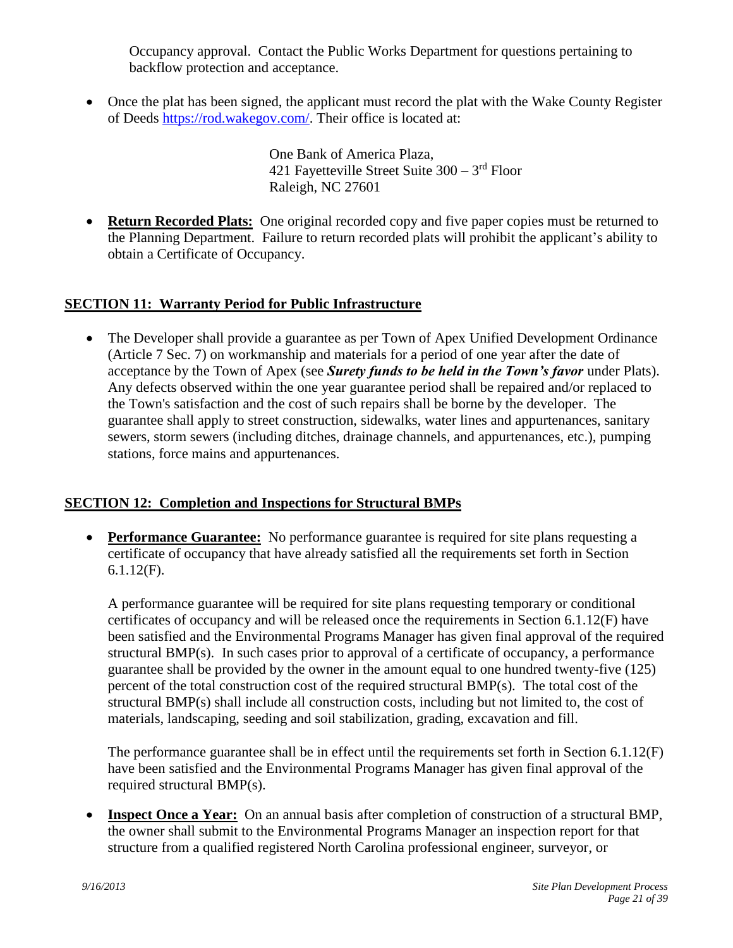Occupancy approval. Contact the Public Works Department for questions pertaining to backflow protection and acceptance.

• Once the plat has been signed, the applicant must record the plat with the Wake County Register of Deeds [https://rod.wakegov.com/.](https://rod.wakegov.com/) Their office is located at:

 One Bank of America Plaza, 421 Fayetteville Street Suite 300 – 3 rd Floor Raleigh, NC 27601

<span id="page-20-0"></span>• **Return Recorded Plats:** One original recorded copy and five paper copies must be returned to the Planning Department. Failure to return recorded plats will prohibit the applicant's ability to obtain a Certificate of Occupancy.

# **SECTION 11: Warranty Period for Public Infrastructure**

<span id="page-20-1"></span>• The Developer shall provide a guarantee as per Town of Apex Unified Development Ordinance (Article 7 Sec. 7) on workmanship and materials for a period of one year after the date of acceptance by the Town of Apex (see *Surety funds to be held in the Town's favor* under Plats). Any defects observed within the one year guarantee period shall be repaired and/or replaced to the Town's satisfaction and the cost of such repairs shall be borne by the developer. The guarantee shall apply to street construction, sidewalks, water lines and appurtenances, sanitary sewers, storm sewers (including ditches, drainage channels, and appurtenances, etc.), pumping stations, force mains and appurtenances.

## **SECTION 12: Completion and Inspections for Structural BMPs**

 **Performance Guarantee:** No performance guarantee is required for site plans requesting a certificate of occupancy that have already satisfied all the requirements set forth in Section 6.1.12(F).

<span id="page-20-3"></span><span id="page-20-2"></span>A performance guarantee will be required for site plans requesting temporary or conditional certificates of occupancy and will be released once the requirements in Section 6.1.12(F) have been satisfied and the Environmental Programs Manager has given final approval of the required structural BMP(s). In such cases prior to approval of a certificate of occupancy, a performance guarantee shall be provided by the owner in the amount equal to one hundred twenty-five (125) percent of the total construction cost of the required structural BMP(s). The total cost of the structural BMP(s) shall include all construction costs, including but not limited to, the cost of materials, landscaping, seeding and soil stabilization, grading, excavation and fill.

<span id="page-20-4"></span>The performance guarantee shall be in effect until the requirements set forth in Section 6.1.12(F) have been satisfied and the Environmental Programs Manager has given final approval of the required structural BMP(s).

 **Inspect Once a Year:** On an annual basis after completion of construction of a structural BMP, the owner shall submit to the Environmental Programs Manager an inspection report for that structure from a qualified registered North Carolina professional engineer, surveyor, or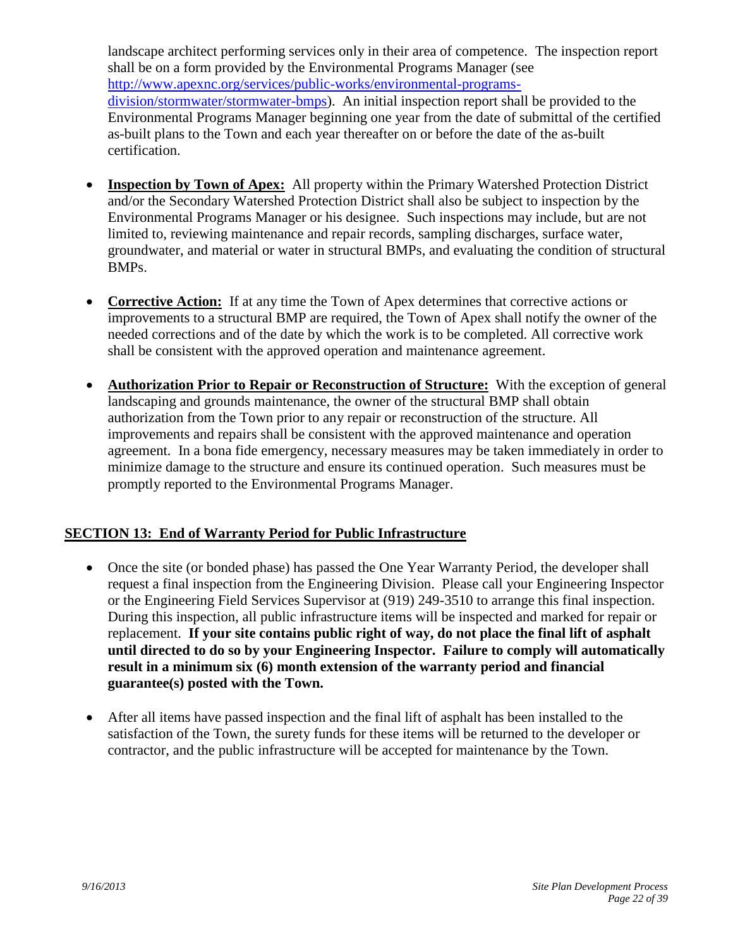landscape architect performing services only in their area of competence. The inspection report shall be on a form provided by the Environmental Programs Manager (see [http://www.apexnc.org/services/public-works/environmental-programs](http://www.apexnc.org/services/public-works/environmental-programs-division/stormwater/stormwater-bmps)[division/stormwater/stormwater-bmps\)](http://www.apexnc.org/services/public-works/environmental-programs-division/stormwater/stormwater-bmps). An initial inspection report shall be provided to the Environmental Programs Manager beginning one year from the date of submittal of the certified as-built plans to the Town and each year thereafter on or before the date of the as-built certification.

- <span id="page-21-0"></span> **Inspection by Town of Apex:** All property within the Primary Watershed Protection District and/or the Secondary Watershed Protection District shall also be subject to inspection by the Environmental Programs Manager or his designee. Such inspections may include, but are not limited to, reviewing maintenance and repair records, sampling discharges, surface water, groundwater, and material or water in structural BMPs, and evaluating the condition of structural BMPs.
- <span id="page-21-1"></span> **Corrective Action:** If at any time the Town of Apex determines that corrective actions or improvements to a structural BMP are required, the Town of Apex shall notify the owner of the needed corrections and of the date by which the work is to be completed. All corrective work shall be consistent with the approved operation and maintenance agreement.
- <span id="page-21-2"></span> **Authorization Prior to Repair or Reconstruction of Structure:** With the exception of general landscaping and grounds maintenance, the owner of the structural BMP shall obtain authorization from the Town prior to any repair or reconstruction of the structure. All improvements and repairs shall be consistent with the approved maintenance and operation agreement. In a bona fide emergency, necessary measures may be taken immediately in order to minimize damage to the structure and ensure its continued operation. Such measures must be promptly reported to the Environmental Programs Manager.

## **SECTION 13: End of Warranty Period for Public Infrastructure**

- <span id="page-21-3"></span>• Once the site (or bonded phase) has passed the One Year Warranty Period, the developer shall request a final inspection from the Engineering Division. Please call your Engineering Inspector or the Engineering Field Services Supervisor at (919) 249-3510 to arrange this final inspection. During this inspection, all public infrastructure items will be inspected and marked for repair or replacement. **If your site contains public right of way, do not place the final lift of asphalt until directed to do so by your Engineering Inspector. Failure to comply will automatically result in a minimum six (6) month extension of the warranty period and financial guarantee(s) posted with the Town.**
- After all items have passed inspection and the final lift of asphalt has been installed to the satisfaction of the Town, the surety funds for these items will be returned to the developer or contractor, and the public infrastructure will be accepted for maintenance by the Town.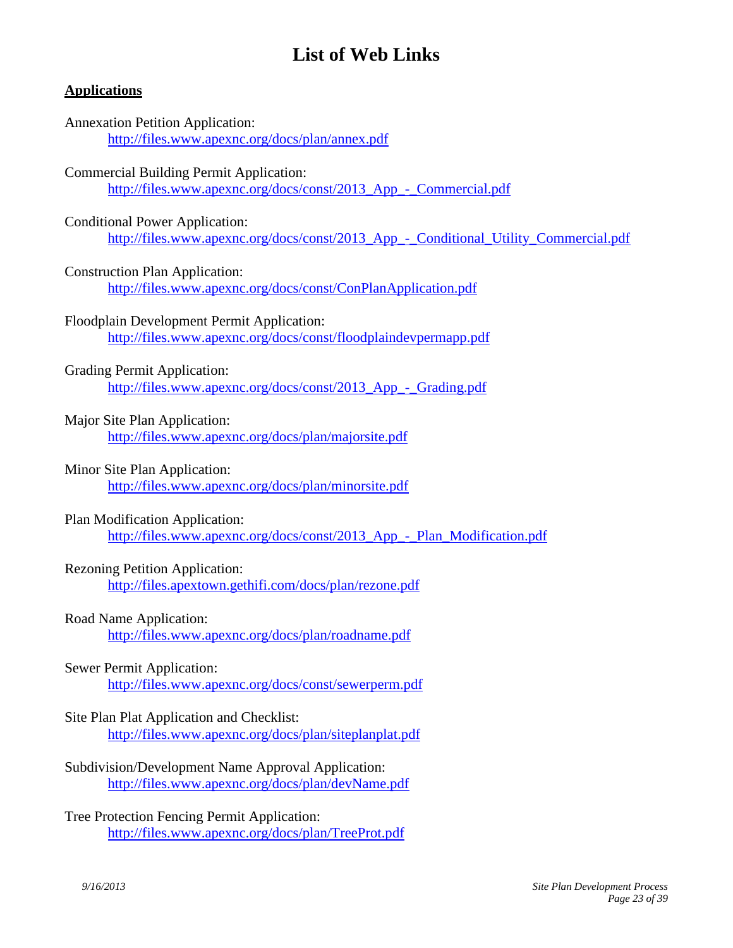# <span id="page-22-0"></span>**List of Web Links**

#### **Applications**

## Annexation Petition Application: <http://files.www.apexnc.org/docs/plan/annex.pdf>

#### Commercial Building Permit Application:

[http://files.www.apexnc.org/docs/const/2013\\_App\\_-\\_Commercial.pdf](http://files.www.apexnc.org/docs/const/2013_App_-_Commercial.pdf)

#### Conditional Power Application:

http://files.www.apexnc.org/docs/const/2013 App - Conditional Utility Commercial.pdf

#### Construction Plan Application:

<http://files.www.apexnc.org/docs/const/ConPlanApplication.pdf>

#### Floodplain Development Permit Application:

<http://files.www.apexnc.org/docs/const/floodplaindevpermapp.pdf>

#### Grading Permit Application:

[http://files.www.apexnc.org/docs/const/2013\\_App\\_-\\_Grading.pdf](http://files.www.apexnc.org/docs/const/2013_App_-_Grading.pdf)

#### Major Site Plan Application:

<http://files.www.apexnc.org/docs/plan/majorsite.pdf>

#### Minor Site Plan Application:

<http://files.www.apexnc.org/docs/plan/minorsite.pdf>

## Plan Modification Application:

[http://files.www.apexnc.org/docs/const/2013\\_App\\_-\\_Plan\\_Modification.pdf](http://files.www.apexnc.org/docs/const/2013_App_-_Plan_Modification.pdf)

## Rezoning Petition Application:

<http://files.apextown.gethifi.com/docs/plan/rezone.pdf>

## Road Name Application:

<http://files.www.apexnc.org/docs/plan/roadname.pdf>

## Sewer Permit Application:

<http://files.www.apexnc.org/docs/const/sewerperm.pdf>

## Site Plan Plat Application and Checklist: <http://files.www.apexnc.org/docs/plan/siteplanplat.pdf>

- Subdivision/Development Name Approval Application: <http://files.www.apexnc.org/docs/plan/devName.pdf>
- Tree Protection Fencing Permit Application: <http://files.www.apexnc.org/docs/plan/TreeProt.pdf>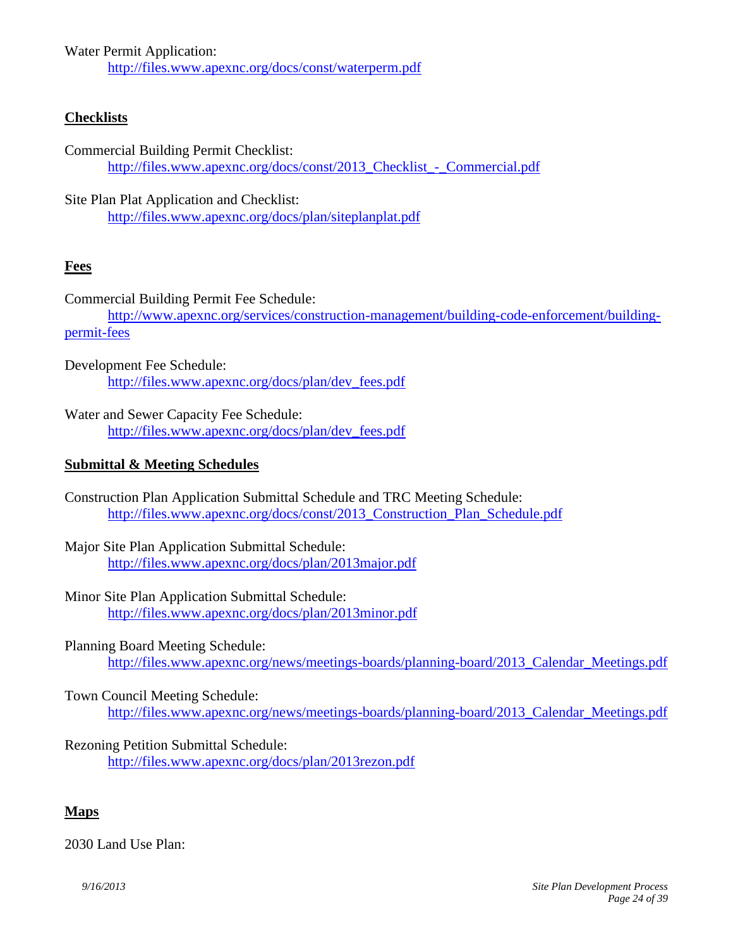Water Permit Application:

<http://files.www.apexnc.org/docs/const/waterperm.pdf>

# **Checklists**

Commercial Building Permit Checklist: http://files.www.apexnc.org/docs/const/2013 Checklist - Commercial.pdf

Site Plan Plat Application and Checklist: <http://files.www.apexnc.org/docs/plan/siteplanplat.pdf>

# **Fees**

Commercial Building Permit Fee Schedule: [http://www.apexnc.org/services/construction-management/building-code-enforcement/building](http://www.apexnc.org/services/construction-management/building-code-enforcement/building-permit-fees)[permit-fees](http://www.apexnc.org/services/construction-management/building-code-enforcement/building-permit-fees)

Development Fee Schedule: [http://files.www.apexnc.org/docs/plan/dev\\_fees.pdf](http://files.www.apexnc.org/docs/plan/dev_fees.pdf)

Water and Sewer Capacity Fee Schedule: [http://files.www.apexnc.org/docs/plan/dev\\_fees.pdf](http://files.www.apexnc.org/docs/plan/dev_fees.pdf)

## **Submittal & Meeting Schedules**

- Construction Plan Application Submittal Schedule and TRC Meeting Schedule: [http://files.www.apexnc.org/docs/const/2013\\_Construction\\_Plan\\_Schedule.pdf](http://files.www.apexnc.org/docs/const/2013_Construction_Plan_Schedule.pdf)
- Major Site Plan Application Submittal Schedule: <http://files.www.apexnc.org/docs/plan/2013major.pdf>
- Minor Site Plan Application Submittal Schedule: <http://files.www.apexnc.org/docs/plan/2013minor.pdf>
- Planning Board Meeting Schedule:

http://files.www.apexnc.org/news/meetings-boards/planning-board/2013 Calendar Meetings.pdf

## Town Council Meeting Schedule:

[http://files.www.apexnc.org/news/meetings-boards/planning-board/2013\\_Calendar\\_Meetings.pdf](http://files.www.apexnc.org/news/meetings-boards/planning-board/2013_Calendar_Meetings.pdf)

Rezoning Petition Submittal Schedule: <http://files.www.apexnc.org/docs/plan/2013rezon.pdf>

## **Maps**

2030 Land Use Plan: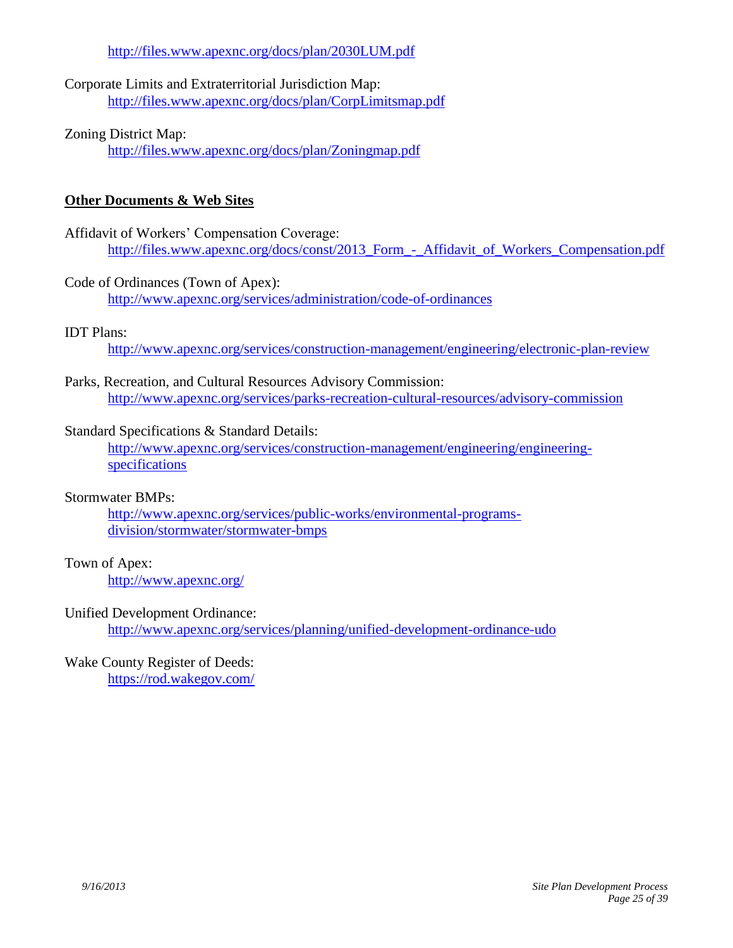<http://files.www.apexnc.org/docs/plan/2030LUM.pdf>

Corporate Limits and Extraterritorial Jurisdiction Map: <http://files.www.apexnc.org/docs/plan/CorpLimitsmap.pdf>

# Zoning District Map:

<http://files.www.apexnc.org/docs/plan/Zoningmap.pdf>

# **Other Documents & Web Sites**

#### Affidavit of Workers' Compensation Coverage: [http://files.www.apexnc.org/docs/const/2013\\_Form\\_-\\_Affidavit\\_of\\_Workers\\_Compensation.pdf](http://files.www.apexnc.org/docs/const/2013_Form_-_Affidavit_of_Workers_Compensation.pdf)

## Code of Ordinances (Town of Apex):

<http://www.apexnc.org/services/administration/code-of-ordinances>

## IDT Plans:

<http://www.apexnc.org/services/construction-management/engineering/electronic-plan-review>

## Parks, Recreation, and Cultural Resources Advisory Commission: <http://www.apexnc.org/services/parks-recreation-cultural-resources/advisory-commission>

#### Standard Specifications & Standard Details:

[http://www.apexnc.org/services/construction-management/engineering/engineering](http://www.apexnc.org/services/construction-management/engineering/engineering-specifications)[specifications](http://www.apexnc.org/services/construction-management/engineering/engineering-specifications)

#### Stormwater BMPs:

[http://www.apexnc.org/services/public-works/environmental-programs](http://www.apexnc.org/services/public-works/environmental-programs-division/stormwater/stormwater-bmps)[division/stormwater/stormwater-bmps](http://www.apexnc.org/services/public-works/environmental-programs-division/stormwater/stormwater-bmps)

## Town of Apex:

<http://www.apexnc.org/>

#### Unified Development Ordinance:

<http://www.apexnc.org/services/planning/unified-development-ordinance-udo>

#### Wake County Register of Deeds: <https://rod.wakegov.com/>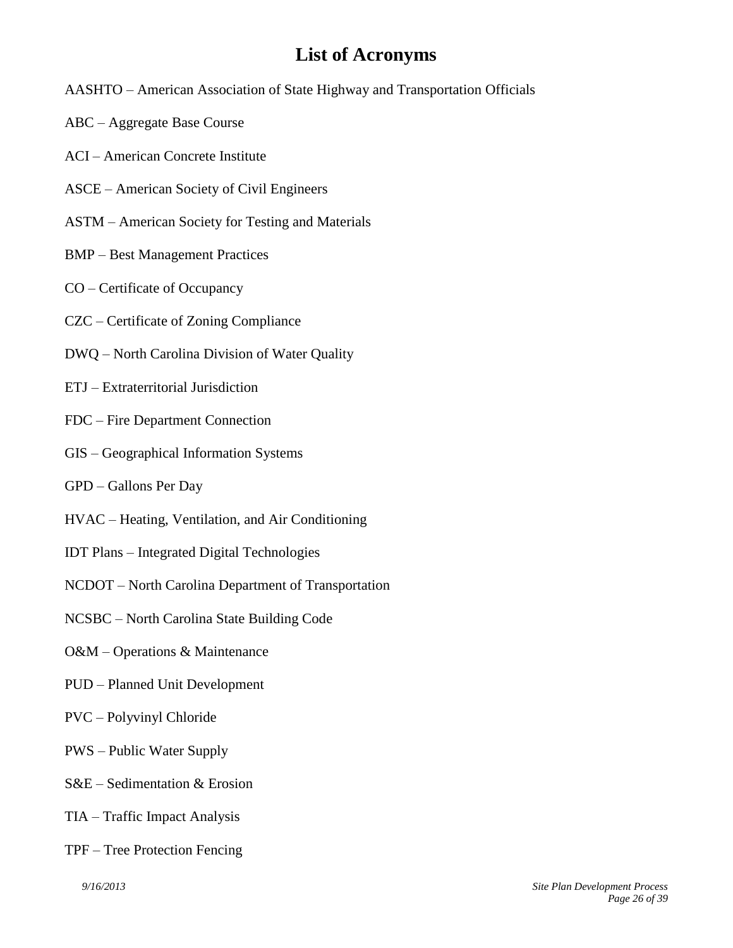# <span id="page-25-0"></span>**List of Acronyms**

- AASHTO American Association of State Highway and Transportation Officials
- ABC Aggregate Base Course
- ACI American Concrete Institute
- ASCE American Society of Civil Engineers
- ASTM American Society for Testing and Materials
- BMP Best Management Practices
- CO Certificate of Occupancy
- CZC Certificate of Zoning Compliance
- DWQ North Carolina Division of Water Quality
- ETJ Extraterritorial Jurisdiction
- FDC Fire Department Connection
- GIS Geographical Information Systems
- GPD Gallons Per Day
- HVAC Heating, Ventilation, and Air Conditioning
- IDT Plans Integrated Digital Technologies
- NCDOT North Carolina Department of Transportation
- NCSBC North Carolina State Building Code
- O&M Operations & Maintenance
- PUD Planned Unit Development
- PVC Polyvinyl Chloride
- PWS Public Water Supply
- S&E Sedimentation & Erosion
- TIA Traffic Impact Analysis
- TPF Tree Protection Fencing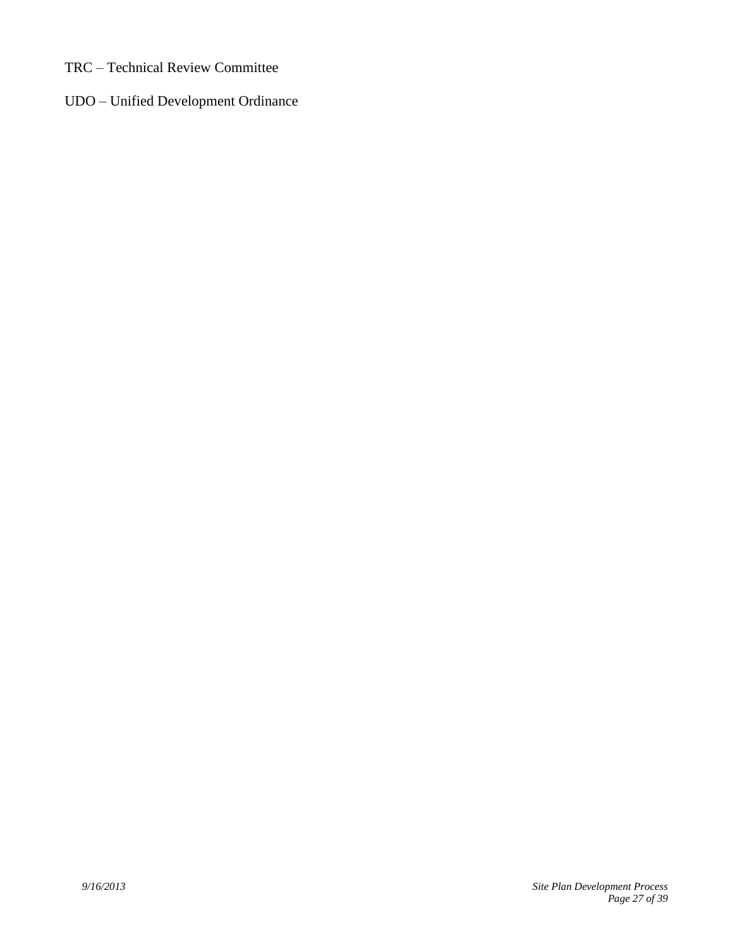- TRC Technical Review Committee
- UDO Unified Development Ordinance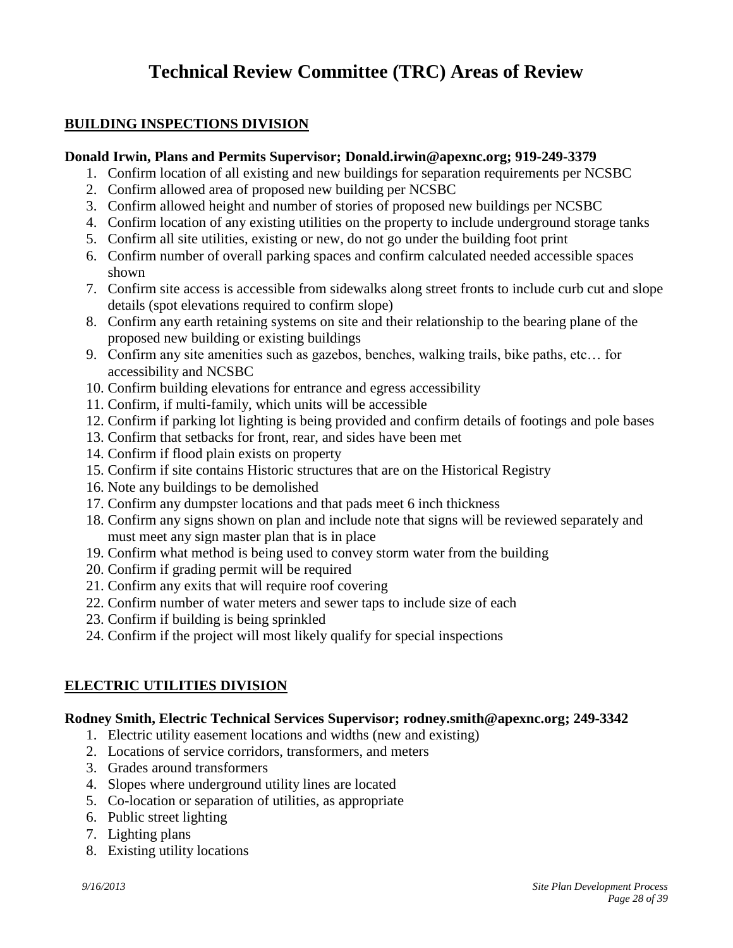# <span id="page-27-1"></span><span id="page-27-0"></span>**Technical Review Committee (TRC) Areas of Review**

## **BUILDING INSPECTIONS DIVISION**

#### **Donald Irwin, Plans and Permits Supervisor; Donald.irwin@apexnc.org; 919-249-3379**

- 1. Confirm location of all existing and new buildings for separation requirements per NCSBC
- 2. Confirm allowed area of proposed new building per NCSBC
- 3. Confirm allowed height and number of stories of proposed new buildings per NCSBC
- 4. Confirm location of any existing utilities on the property to include underground storage tanks
- 5. Confirm all site utilities, existing or new, do not go under the building foot print
- 6. Confirm number of overall parking spaces and confirm calculated needed accessible spaces shown
- 7. Confirm site access is accessible from sidewalks along street fronts to include curb cut and slope details (spot elevations required to confirm slope)
- 8. Confirm any earth retaining systems on site and their relationship to the bearing plane of the proposed new building or existing buildings
- 9. Confirm any site amenities such as gazebos, benches, walking trails, bike paths, etc… for accessibility and NCSBC
- 10. Confirm building elevations for entrance and egress accessibility
- 11. Confirm, if multi-family, which units will be accessible
- 12. Confirm if parking lot lighting is being provided and confirm details of footings and pole bases
- 13. Confirm that setbacks for front, rear, and sides have been met
- 14. Confirm if flood plain exists on property
- 15. Confirm if site contains Historic structures that are on the Historical Registry
- 16. Note any buildings to be demolished
- 17. Confirm any dumpster locations and that pads meet 6 inch thickness
- 18. Confirm any signs shown on plan and include note that signs will be reviewed separately and must meet any sign master plan that is in place
- 19. Confirm what method is being used to convey storm water from the building
- 20. Confirm if grading permit will be required
- 21. Confirm any exits that will require roof covering
- 22. Confirm number of water meters and sewer taps to include size of each
- 23. Confirm if building is being sprinkled
- 24. Confirm if the project will most likely qualify for special inspections

# **ELECTRIC UTILITIES DIVISION**

## **Rodney Smith, Electric Technical Services Supervisor; rodney.smith@apexnc.org; 249-3342**

- <span id="page-27-2"></span>1. Electric utility easement locations and widths (new and existing)
- 2. Locations of service corridors, transformers, and meters
- 3. Grades around transformers
- 4. Slopes where underground utility lines are located
- 5. Co-location or separation of utilities, as appropriate
- 6. Public street lighting
- 7. Lighting plans
- 8. Existing utility locations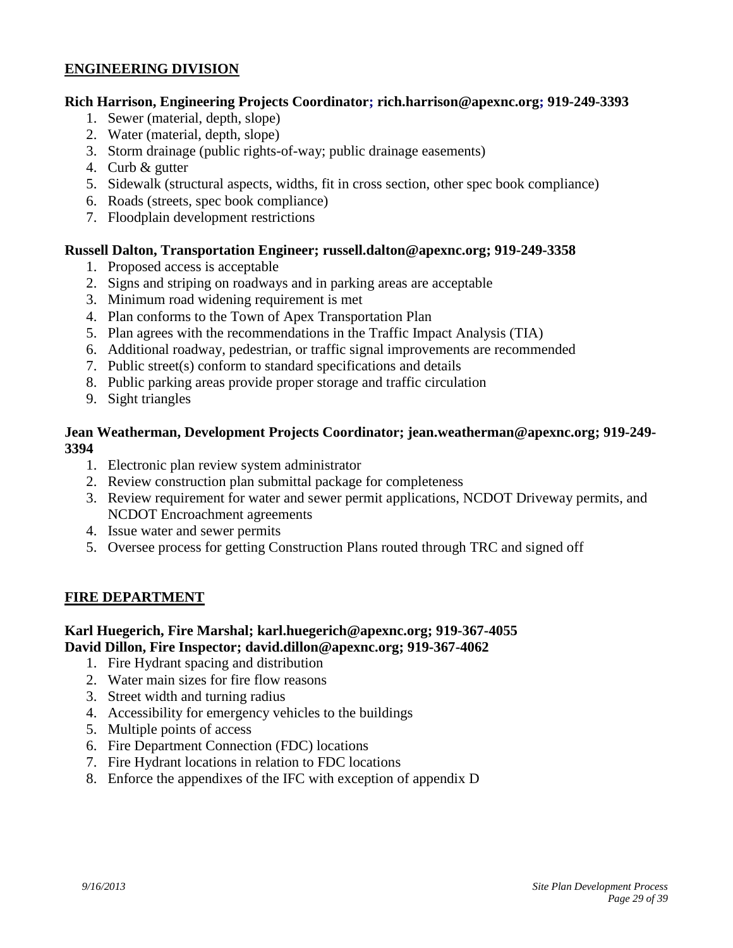## **ENGINEERING DIVISION**

#### **Rich Harrison, Engineering Projects Coordinator; [rich.harrison@apexnc.org;](mailto:rich.harrison@apexnc.org) 919-249-3393**

- <span id="page-28-0"></span>1. Sewer (material, depth, slope)
- 2. Water (material, depth, slope)
- 3. Storm drainage (public rights-of-way; public drainage easements)
- 4. Curb & gutter
- 5. Sidewalk (structural aspects, widths, fit in cross section, other spec book compliance)
- 6. Roads (streets, spec book compliance)
- 7. Floodplain development restrictions

#### **Russell Dalton, Transportation Engineer; [russell.dalton@apexnc.org;](mailto:russell.dalton@apexnc.org) 919-249-3358**

- 1. Proposed access is acceptable
- 2. Signs and striping on roadways and in parking areas are acceptable
- 3. Minimum road widening requirement is met
- 4. Plan conforms to the Town of Apex Transportation Plan
- 5. Plan agrees with the recommendations in the Traffic Impact Analysis (TIA)
- 6. Additional roadway, pedestrian, or traffic signal improvements are recommended
- 7. Public street(s) conform to standard specifications and details
- 8. Public parking areas provide proper storage and traffic circulation
- 9. Sight triangles

#### **Jean Weatherman, Development Projects Coordinator; [jean.weatherman@apexnc.org;](mailto:jean.weatherman@apexnc.org) 919-249- 3394**

- 1. Electronic plan review system administrator
- 2. Review construction plan submittal package for completeness
- 3. Review requirement for water and sewer permit applications, NCDOT Driveway permits, and NCDOT Encroachment agreements
- 4. Issue water and sewer permits
- <span id="page-28-1"></span>5. Oversee process for getting Construction Plans routed through TRC and signed off

#### **FIRE DEPARTMENT**

#### **Karl Huegerich, Fire Marshal; [karl.huegerich@apexnc.org;](mailto:karl.huegerich@apexnc.org) 919-367-4055 David Dillon, Fire Inspector; [david.dillon@apexnc.org;](mailto:david.dillon@apexnc.org) 919-367-4062**

- 1. Fire Hydrant spacing and distribution
- 2. Water main sizes for fire flow reasons
- 3. Street width and turning radius
- 4. Accessibility for emergency vehicles to the buildings
- 5. Multiple points of access
- 6. Fire Department Connection (FDC) locations
- 7. Fire Hydrant locations in relation to FDC locations
- 8. Enforce the appendixes of the IFC with exception of appendix D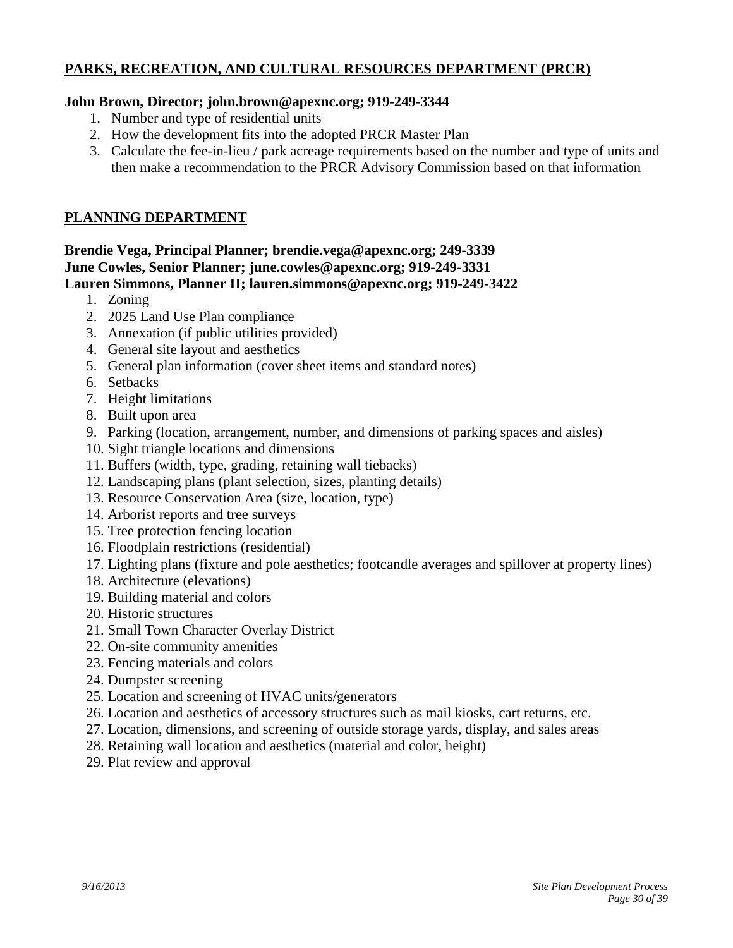# **PARKS, RECREATION, AND CULTURAL RESOURCES DEPARTMENT (PRCR)**

#### **John Brown, Director; [john.brown@apexnc.org;](mailto:john.brown@apexnc.org) 919-249-3344**

- <span id="page-29-0"></span>1. Number and type of residential units
- 2. How the development fits into the adopted PRCR Master Plan
- <span id="page-29-1"></span>3. Calculate the fee-in-lieu / park acreage requirements based on the number and type of units and then make a recommendation to the PRCR Advisory Commission based on that information

#### **PLANNING DEPARTMENT**

#### **Brendie Vega, Principal Planner; brendie.vega@apexnc.org; 249-3339 June Cowles, Senior Planner; [june.cowles@apexnc.org;](mailto:june.cowles@apexnc.org) 919-249-3331 Lauren Simmons, Planner II; [lauren.simmons@apexnc.org;](mailto:lauren.simmons@apexnc.org) 919-249-3422**

- 1. Zoning
- 2. 2025 Land Use Plan compliance
- 3. Annexation (if public utilities provided)
- 4. General site layout and aesthetics
- 5. General plan information (cover sheet items and standard notes)
- 6. Setbacks
- 7. Height limitations
- 8. Built upon area
- 9. Parking (location, arrangement, number, and dimensions of parking spaces and aisles)
- 10. Sight triangle locations and dimensions
- 11. Buffers (width, type, grading, retaining wall tiebacks)
- 12. Landscaping plans (plant selection, sizes, planting details)
- 13. Resource Conservation Area (size, location, type)
- 14. Arborist reports and tree surveys
- 15. Tree protection fencing location
- 16. Floodplain restrictions (residential)
- 17. Lighting plans (fixture and pole aesthetics; footcandle averages and spillover at property lines)
- 18. Architecture (elevations)
- 19. Building material and colors
- 20. Historic structures
- 21. Small Town Character Overlay District
- 22. On-site community amenities
- 23. Fencing materials and colors
- 24. Dumpster screening
- 25. Location and screening of HVAC units/generators
- 26. Location and aesthetics of accessory structures such as mail kiosks, cart returns, etc.
- 27. Location, dimensions, and screening of outside storage yards, display, and sales areas
- 28. Retaining wall location and aesthetics (material and color, height)
- 29. Plat review and approval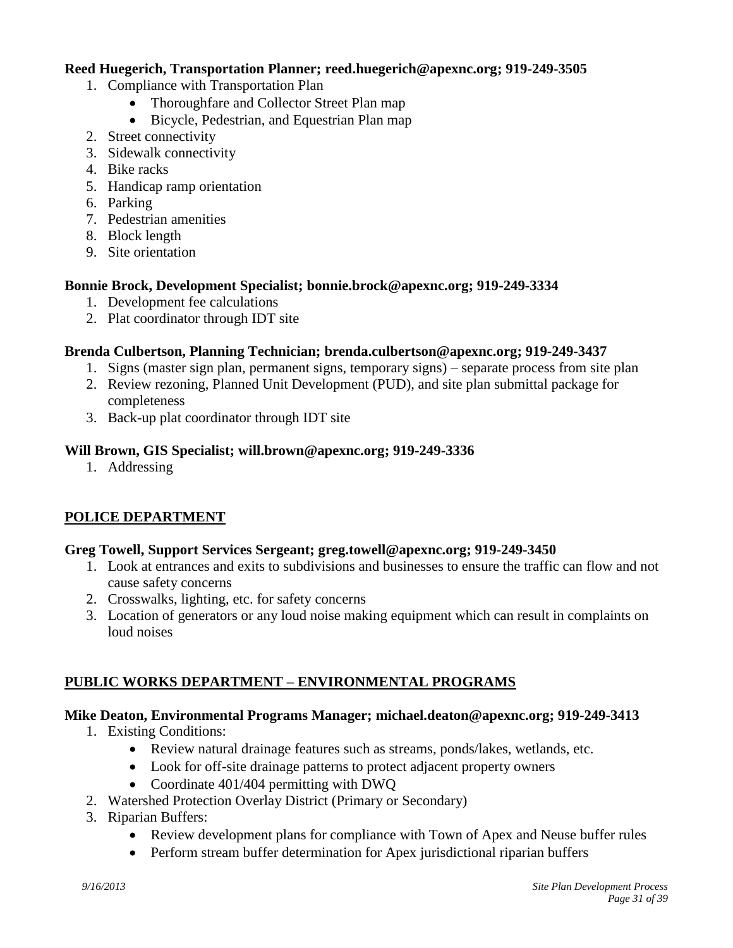#### **Reed Huegerich, Transportation Planner; [reed.huegerich@apexnc.org;](mailto:reed.huegerich@apexnc.org) 919-249-3505**

- 1. Compliance with Transportation Plan
	- Thoroughfare and Collector Street Plan map
	- Bicycle, Pedestrian, and Equestrian Plan map
- 2. Street connectivity
- 3. Sidewalk connectivity
- 4. Bike racks
- 5. Handicap ramp orientation
- 6. Parking
- 7. Pedestrian amenities
- 8. Block length
- 9. Site orientation

#### **Bonnie Brock, Development Specialist; [bonnie.brock@apexnc.org;](mailto:bonnie.brock@apexnc.org) 919-249-3334**

- 1. Development fee calculations
- 2. Plat coordinator through IDT site

#### **Brenda Culbertson, Planning Technician; [brenda.culbertson@apexnc.org;](mailto:brenda.culbertson@apexnc.org) 919-249-3437**

- 1. Signs (master sign plan, permanent signs, temporary signs) separate process from site plan
- 2. Review rezoning, Planned Unit Development (PUD), and site plan submittal package for completeness
- 3. Back-up plat coordinator through IDT site

#### **Will Brown, GIS Specialist; [will.brown@apexnc.org;](mailto:will.brown@apexnc.org) 919-249-3336**

1. Addressing

# **POLICE DEPARTMENT**

#### **Greg Towell, Support Services Sergeant; greg.towell@apexnc.org; 919-249-3450**

- <span id="page-30-0"></span>1. Look at entrances and exits to subdivisions and businesses to ensure the traffic can flow and not cause safety concerns
- 2. Crosswalks, lighting, etc. for safety concerns
- 3. Location of generators or any loud noise making equipment which can result in complaints on loud noises

## **PUBLIC WORKS DEPARTMENT – ENVIRONMENTAL PROGRAMS**

## **Mike Deaton, Environmental Programs Manager; michael.deaton@apexnc.org; 919-249-3413**

- <span id="page-30-1"></span>1. Existing Conditions:
	- Review natural drainage features such as streams, ponds/lakes, wetlands, etc.
	- Look for off-site drainage patterns to protect adjacent property owners
	- Coordinate 401/404 permitting with DWQ
- 2. Watershed Protection Overlay District (Primary or Secondary)
- 3. Riparian Buffers:
	- Review development plans for compliance with Town of Apex and Neuse buffer rules
	- Perform stream buffer determination for Apex jurisdictional riparian buffers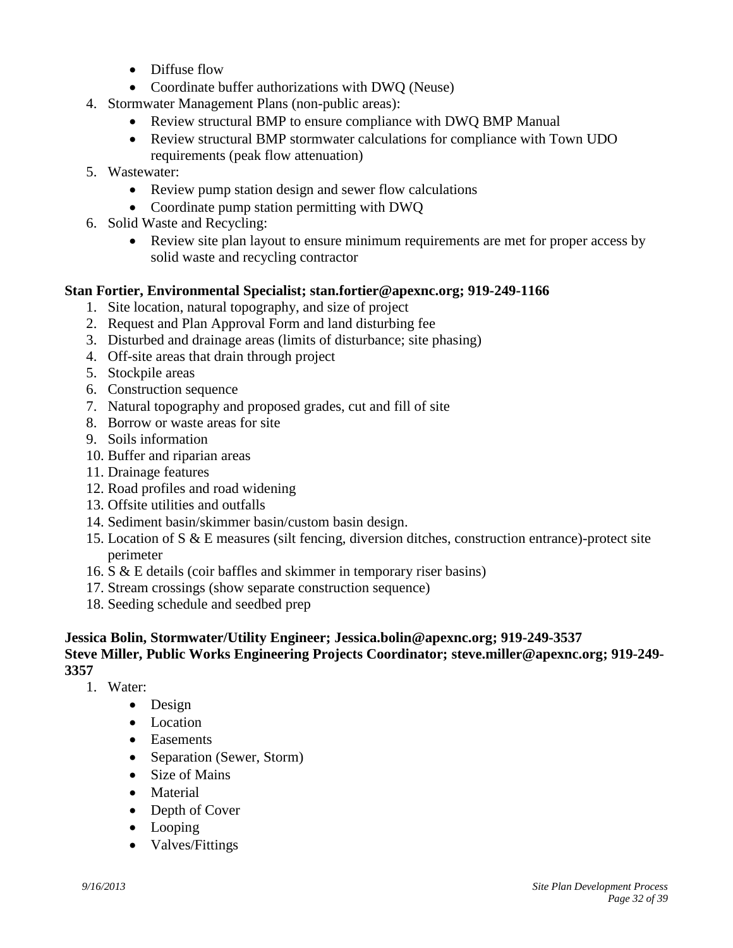- Diffuse flow
- Coordinate buffer authorizations with DWO (Neuse)
- 4. Stormwater Management Plans (non-public areas):
	- Review structural BMP to ensure compliance with DWQ BMP Manual
	- Review structural BMP stormwater calculations for compliance with Town UDO requirements (peak flow attenuation)
- 5. Wastewater:
	- Review pump station design and sewer flow calculations
	- Coordinate pump station permitting with DWQ
- 6. Solid Waste and Recycling:
	- Review site plan layout to ensure minimum requirements are met for proper access by solid waste and recycling contractor

## **Stan Fortier, Environmental Specialist; stan.fortier@apexnc.org; 919-249-1166**

- 1. Site location, natural topography, and size of project
- 2. Request and Plan Approval Form and land disturbing fee
- 3. Disturbed and drainage areas (limits of disturbance; site phasing)
- 4. Off-site areas that drain through project
- 5. Stockpile areas
- 6. Construction sequence
- 7. Natural topography and proposed grades, cut and fill of site
- 8. Borrow or waste areas for site
- 9. Soils information
- 10. Buffer and riparian areas
- 11. Drainage features
- 12. Road profiles and road widening
- 13. Offsite utilities and outfalls
- 14. Sediment basin/skimmer basin/custom basin design.
- 15. Location of S & E measures (silt fencing, diversion ditches, construction entrance)-protect site perimeter
- 16. S & E details (coir baffles and skimmer in temporary riser basins)
- 17. Stream crossings (show separate construction sequence)
- 18. Seeding schedule and seedbed prep

#### **Jessica Bolin, Stormwater/Utility Engineer; Jessica.bolin@apexnc.org; 919-249-3537 Steve Miller, Public Works Engineering Projects Coordinator; [steve.miller@apexnc.org;](mailto:steve.miller@apexnc.org) 919-249- 3357**

- 1. Water:
	- Design
	- Location
	- Easements
	- Separation (Sewer, Storm)
	- Size of Mains
	- Material
	- Depth of Cover
	- Looping
	- Valves/Fittings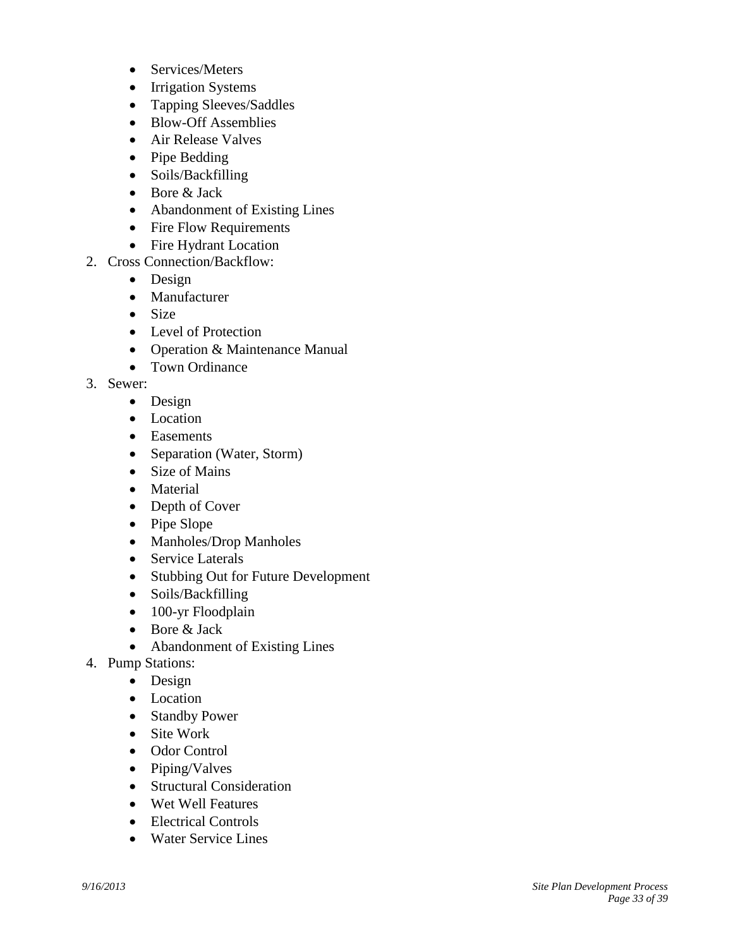- Services/Meters
- Irrigation Systems
- Tapping Sleeves/Saddles
- Blow-Off Assemblies
- Air Release Valves
- Pipe Bedding
- Soils/Backfilling
- Bore & Jack
- Abandonment of Existing Lines
- Fire Flow Requirements
- Fire Hydrant Location
- 2. Cross Connection/Backflow:
	- Design
	- Manufacturer
	- $\bullet$  Size
	- Level of Protection
	- Operation & Maintenance Manual
	- Town Ordinance
- 3. Sewer:
	- Design
	- Location
	- Easements
	- Separation (Water, Storm)
	- Size of Mains
	- Material
	- Depth of Cover
	- Pipe Slope
	- Manholes/Drop Manholes
	- Service Laterals
	- Stubbing Out for Future Development
	- Soils/Backfilling
	- 100-yr Floodplain
	- $\bullet$  Bore & Jack
		- Abandonment of Existing Lines
- 4. Pump Stations:
	- Design
	- Location
	- Standby Power
	- Site Work
	- Odor Control
	- Piping/Valves
	- Structural Consideration
	- Wet Well Features
	- Electrical Controls
	- Water Service Lines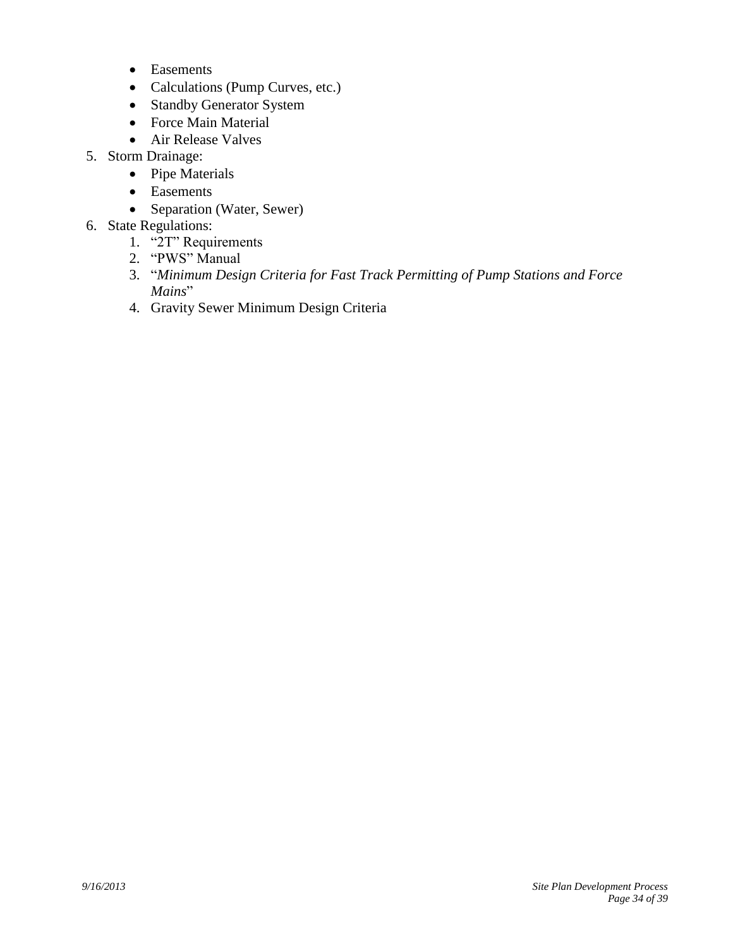- Easements
- Calculations (Pump Curves, etc.)
- Standby Generator System
- Force Main Material
- Air Release Valves
- 5. Storm Drainage:
	- Pipe Materials
	- Easements
	- Separation (Water, Sewer)
- 6. State Regulations:
	- 1. "2T" Requirements
	- 2. "PWS" Manual
	- 3. "*Minimum Design Criteria for Fast Track Permitting of Pump Stations and Force Mains*"
	- 4. Gravity Sewer Minimum Design Criteria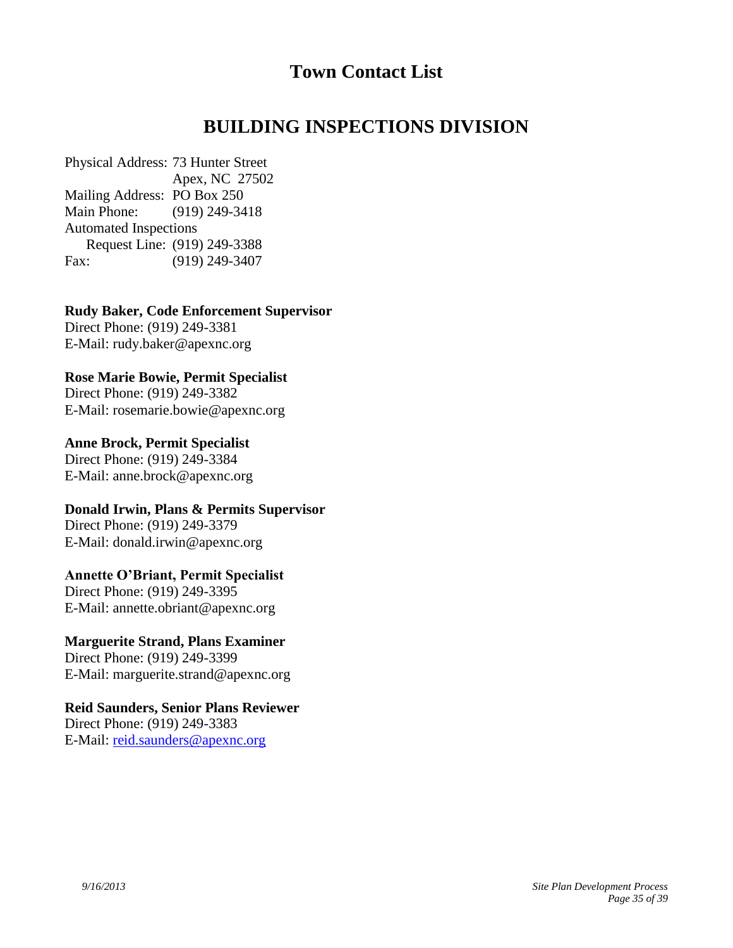# <span id="page-34-1"></span><span id="page-34-0"></span>**Town Contact List**

# **BUILDING INSPECTIONS DIVISION**

Physical Address: 73 Hunter Street Apex, NC 27502 Mailing Address: PO Box 250 Main Phone: (919) 249-3418 Automated Inspections Request Line: (919) 249-3388 Fax: (919) 249-3407

**Rudy Baker, Code Enforcement Supervisor** Direct Phone: (919) 249-3381

E-Mail: [rudy.baker@apexnc.org](mailto:rudy.baker@apexnc.org)

**Rose Marie Bowie, Permit Specialist**

Direct Phone: (919) 249-3382 E-Mail: [rosemarie.bowie@apexnc.org](mailto:rosemarie.bowie@apexnc.org)

**Anne Brock, Permit Specialist** Direct Phone: (919) 249-3384 E-Mail: [anne.brock@apexnc.org](mailto:anne.brock@apexnc.org)

**Donald Irwin, Plans & Permits Supervisor** Direct Phone: (919) 249-3379 E-Mail: donald.irwin@apexnc.org

# **Annette O'Briant, Permit Specialist**

Direct Phone: (919) 249-3395 E-Mail: annette.obriant@apexnc.org

# **Marguerite Strand, Plans Examiner**

Direct Phone: (919) 249-3399 E-Mail: [marguerite.strand@apexnc.org](mailto:marguerite.strand@apexnc.org)

## **Reid Saunders, Senior Plans Reviewer**

Direct Phone: (919) 249-3383 E-Mail: [reid.saunders@apexnc.org](mailto:reid.saunders@apexnc.org)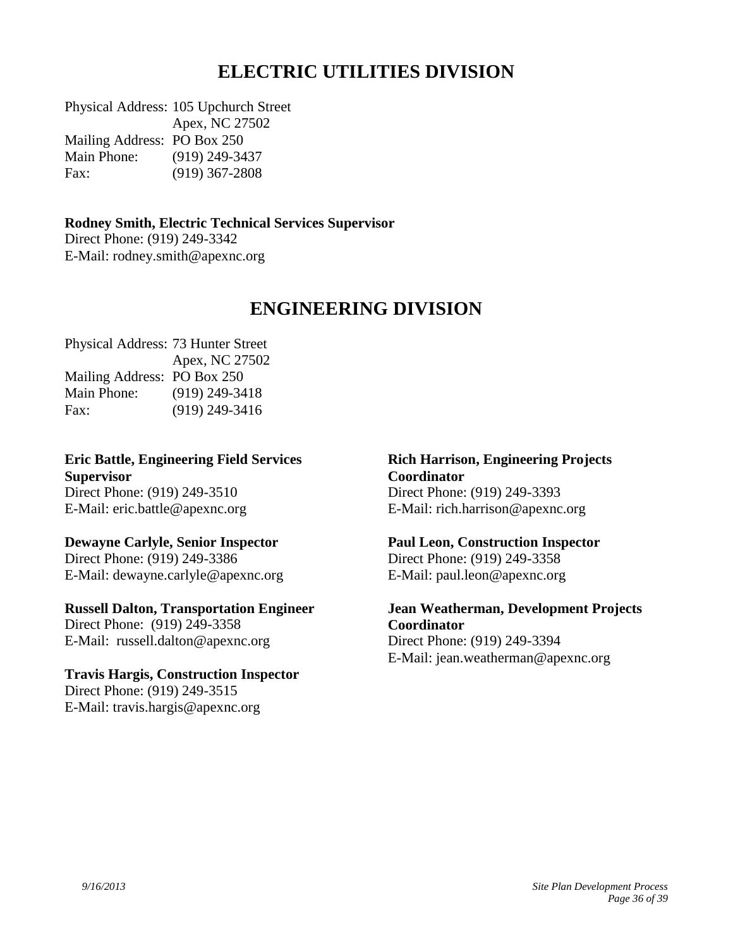# <span id="page-35-0"></span>**ELECTRIC UTILITIES DIVISION**

Physical Address: 105 Upchurch Street Apex, NC 27502 Mailing Address: PO Box 250 Main Phone: (919) 249-3437 Fax: (919) 367-2808

**Rodney Smith, Electric Technical Services Supervisor** Direct Phone: (919) 249-3342 E-Mail: [rodney.smith@apexnc.org](mailto:rodney.smith@apexnc.org)

# **ENGINEERING DIVISION**

Physical Address: 73 Hunter Street Apex, NC 27502 Mailing Address: PO Box 250 Main Phone: (919) 249-3418 Fax: (919) 249-3416

**Eric Battle, Engineering Field Services Supervisor** Direct Phone: (919) 249-3510 E-Mail: [eric.battle@apexnc.org](mailto:eric.battle@apexnc.org)

# **Dewayne Carlyle, Senior Inspector**

Direct Phone: (919) 249-3386 E-Mail: dewayne.carlyle@apexnc.org

#### **Russell Dalton, Transportation Engineer**

Direct Phone: (919) 249-3358 E-Mail: [russell.dalton@apexnc.org](mailto:russell.dalton@apexnc.org)

#### **Travis Hargis, Construction Inspector**

Direct Phone: (919) 249-3515 E-Mail: travis.hargis@apexnc.org

#### <span id="page-35-1"></span>**Rich Harrison, Engineering Projects Coordinator** Direct Phone: (919) 249-3393 E-Mail: rich.harrison@apexnc.org

#### **Paul Leon, Construction Inspector** Direct Phone: (919) 249-3358

E-Mail: paul.leon@apexnc.org

**Jean Weatherman, Development Projects Coordinator** Direct Phone: (919) 249-3394 E-Mail: [jean.weatherman@apexnc.org](mailto:jean.weatherman@apexnc.org)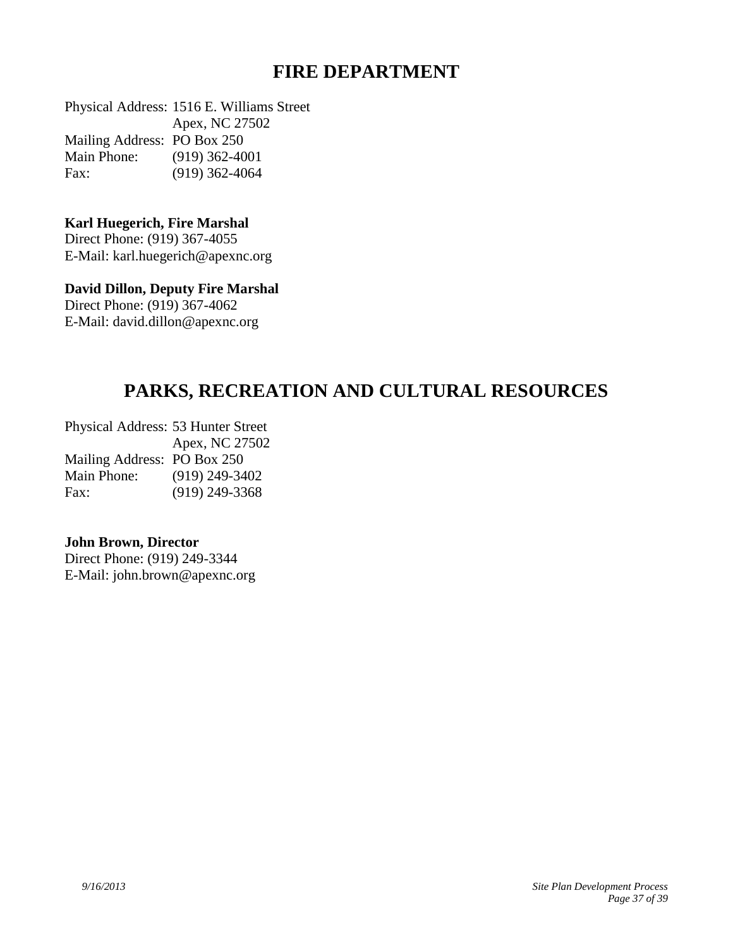# <span id="page-36-1"></span><span id="page-36-0"></span>**FIRE DEPARTMENT**

Physical Address: 1516 E. Williams Street Apex, NC 27502 Mailing Address: PO Box 250 Main Phone: (919) 362-4001 Fax: (919) 362-4064

#### **Karl Huegerich, Fire Marshal**

Direct Phone: (919) 367-4055 E-Mail: [karl.huegerich@apexnc.org](mailto:karl.huegerich@apexnc.org)

## **David Dillon, Deputy Fire Marshal**

Direct Phone: (919) 367-4062 E-Mail: david.dillon@apexnc.org

# **PARKS, RECREATION AND CULTURAL RESOURCES**

Physical Address: 53 Hunter Street Apex, NC 27502 Mailing Address: PO Box 250 Main Phone: (919) 249-3402 Fax: (919) 249-3368

#### **John Brown, Director**

Direct Phone: (919) 249-3344 E-Mail: [john.brown@apexnc.org](mailto:john.brown@apexnc.org)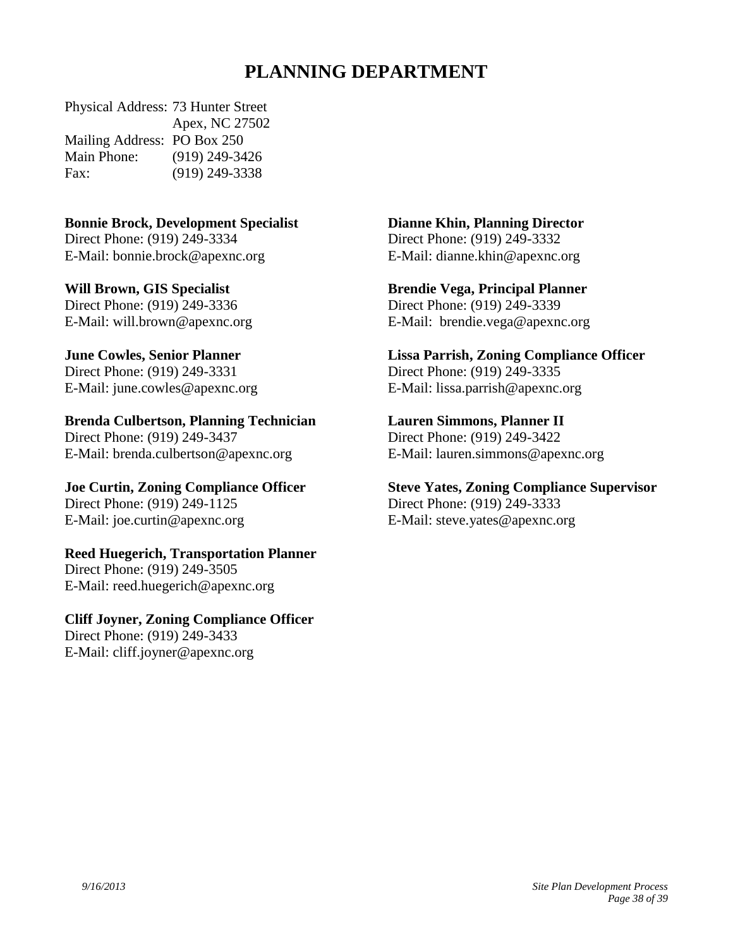# **PLANNING DEPARTMENT**

Physical Address: 73 Hunter Street Apex, NC 27502 Mailing Address: PO Box 250 Main Phone: (919) 249-3426 Fax: (919) 249-3338

## **Bonnie Brock, Development Specialist**

Direct Phone: (919) 249-3334 E-Mail: [bonnie.brock@apexnc.org](mailto:bonnie.brock@apexnc.org)

**Will Brown, GIS Specialist** Direct Phone: (919) 249-3336 E-Mail: [will.brown@apexnc.org](mailto:will.brown@apexnc.org)

**June Cowles, Senior Planner** Direct Phone: (919) 249-3331 E-Mail: [june.cowles@apexnc.org](mailto:june.cowles@apexnc.org)

**Brenda Culbertson, Planning Technician** Direct Phone: (919) 249-3437 E-Mail: [brenda.culbertson@apexnc.org](mailto:brenda.culbertson@apexnc.org)

**Joe Curtin, Zoning Compliance Officer** Direct Phone: (919) 249-1125 E-Mail: [joe.curtin@apexnc.org](mailto:reed.huegerich@apexnc.org)

**Reed Huegerich, Transportation Planner** Direct Phone: (919) 249-3505 E-Mail: [reed.huegerich@apexnc.org](mailto:reed.huegerich@apexnc.org)

**Cliff Joyner, Zoning Compliance Officer** Direct Phone: (919) 249-3433 E-Mail: [cliff.joyner@apexnc.org](mailto:cliff.joyner@apexnc.org)

<span id="page-37-0"></span>**Dianne Khin, Planning Director**

Direct Phone: (919) 249-3332 E-Mail: [dianne.khin@apexnc.org](mailto:dianne.khin@apexnc.org)

**Brendie Vega, Principal Planner** Direct Phone: (919) 249-3339 E-Mail: brendie.vega@apexnc.org

**Lissa Parrish, Zoning Compliance Officer** Direct Phone: (919) 249-3335 E-Mail: [lissa.parrish@apexnc.org](mailto:lissa.parrish@apexnc.org)

**Lauren Simmons, Planner II** Direct Phone: (919) 249-3422

E-Mail: [lauren.simmons@apexnc.org](mailto:lauren.simmons@apexnc.org)

**Steve Yates, Zoning Compliance Supervisor** Direct Phone: (919) 249-3333 E-Mail: [steve.yates@apexnc.org](mailto:steve.yates@apexnc.org)